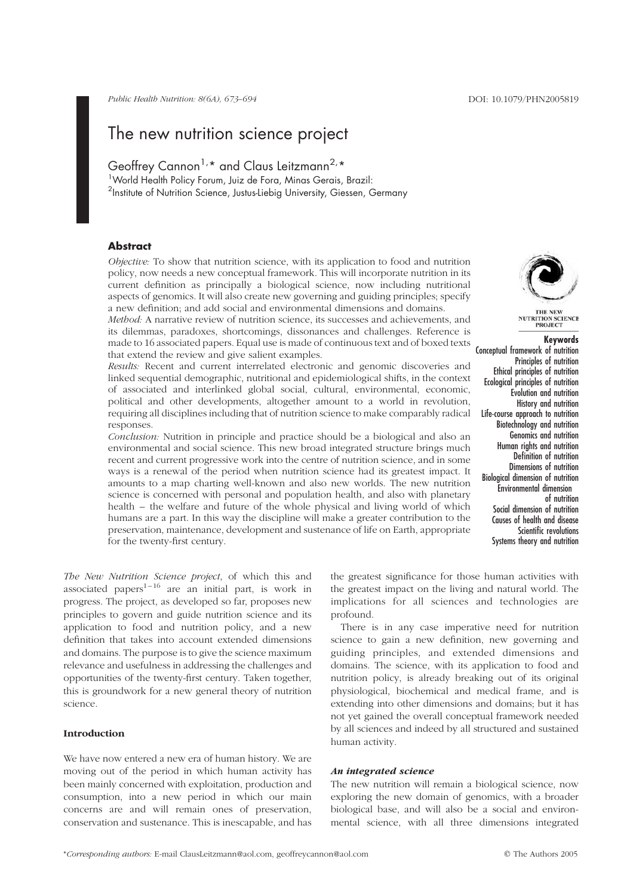Public Health Nutrition: 8(6A), 673–694 DOI: 10.1079/PHN2005819

# The new nutrition science project

Geoffrey Cannon<sup>1,\*</sup> and Claus Leitzmann<sup>2,\*</sup>

<sup>1</sup> World Health Policy Forum, Juiz de Fora, Minas Gerais, Brazil: <sup>2</sup>Institute of Nutrition Science, Justus-Liebig University, Giessen, Germany

# **Abstract**

Objective: To show that nutrition science, with its application to food and nutrition policy, now needs a new conceptual framework. This will incorporate nutrition in its current definition as principally a biological science, now including nutritional aspects of genomics. It will also create new governing and guiding principles; specify a new definition; and add social and environmental dimensions and domains.

Method: A narrative review of nutrition science, its successes and achievements, and its dilemmas, paradoxes, shortcomings, dissonances and challenges. Reference is made to 16 associated papers. Equal use is made of continuous text and of boxed texts that extend the review and give salient examples.

Results: Recent and current interrelated electronic and genomic discoveries and linked sequential demographic, nutritional and epidemiological shifts, in the context of associated and interlinked global social, cultural, environmental, economic, political and other developments, altogether amount to a world in revolution, requiring all disciplines including that of nutrition science to make comparably radical responses.

Conclusion: Nutrition in principle and practice should be a biological and also an environmental and social science. This new broad integrated structure brings much recent and current progressive work into the centre of nutrition science, and in some ways is a renewal of the period when nutrition science had its greatest impact. It amounts to a map charting well-known and also new worlds. The new nutrition science is concerned with personal and population health, and also with planetary health – the welfare and future of the whole physical and living world of which humans are a part. In this way the discipline will make a greater contribution to the preservation, maintenance, development and sustenance of life on Earth, appropriate for the twenty-first century.

The New Nutrition Science project, of which this and associated papers $1-16$  are an initial part, is work in progress. The project, as developed so far, proposes new principles to govern and guide nutrition science and its application to food and nutrition policy, and a new definition that takes into account extended dimensions and domains. The purpose is to give the science maximum relevance and usefulness in addressing the challenges and opportunities of the twenty-first century. Taken together, this is groundwork for a new general theory of nutrition science.

# Introduction

We have now entered a new era of human history. We are moving out of the period in which human activity has been mainly concerned with exploitation, production and consumption, into a new period in which our main concerns are and will remain ones of preservation, conservation and sustenance. This is inescapable, and has



Keywords

Conceptual framework of nutrition Principles of nutrition Ethical principles of nutrition Ecological principles of nutrition Evolution and nutrition History and nutrition Life-course approach to nutrition Biotechnology and nutrition Genomics and nutrition Human rights and nutrition Definition of nutrition Dimensions of nutrition Biological dimension of nutrition Environmental dimension of nutrition Social dimension of nutrition Causes of health and disease Scientific revolutions Systems theory and nutrition

the greatest significance for those human activities with the greatest impact on the living and natural world. The implications for all sciences and technologies are profound.

There is in any case imperative need for nutrition science to gain a new definition, new governing and guiding principles, and extended dimensions and domains. The science, with its application to food and nutrition policy, is already breaking out of its original physiological, biochemical and medical frame, and is extending into other dimensions and domains; but it has not yet gained the overall conceptual framework needed by all sciences and indeed by all structured and sustained human activity.

# An integrated science

The new nutrition will remain a biological science, now exploring the new domain of genomics, with a broader biological base, and will also be a social and environmental science, with all three dimensions integrated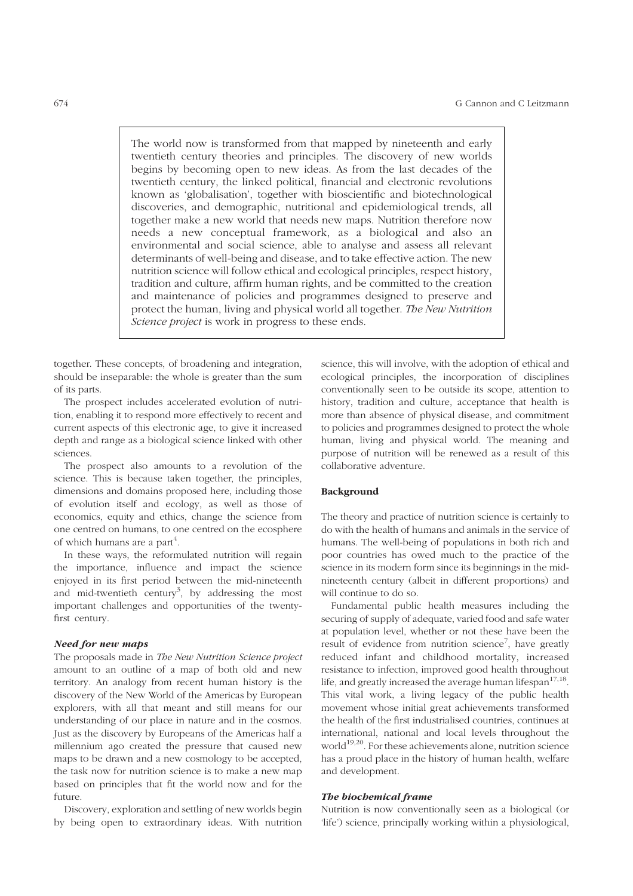The world now is transformed from that mapped by nineteenth and early twentieth century theories and principles. The discovery of new worlds begins by becoming open to new ideas. As from the last decades of the twentieth century, the linked political, financial and electronic revolutions known as 'globalisation', together with bioscientific and biotechnological discoveries, and demographic, nutritional and epidemiological trends, all together make a new world that needs new maps. Nutrition therefore now needs a new conceptual framework, as a biological and also an environmental and social science, able to analyse and assess all relevant determinants of well-being and disease, and to take effective action. The new nutrition science will follow ethical and ecological principles, respect history, tradition and culture, affirm human rights, and be committed to the creation and maintenance of policies and programmes designed to preserve and protect the human, living and physical world all together. The New Nutrition Science project is work in progress to these ends.

together. These concepts, of broadening and integration, should be inseparable: the whole is greater than the sum of its parts.

The prospect includes accelerated evolution of nutrition, enabling it to respond more effectively to recent and current aspects of this electronic age, to give it increased depth and range as a biological science linked with other sciences.

The prospect also amounts to a revolution of the science. This is because taken together, the principles, dimensions and domains proposed here, including those of evolution itself and ecology, as well as those of economics, equity and ethics, change the science from one centred on humans, to one centred on the ecosphere of which humans are a part $^4$ .

In these ways, the reformulated nutrition will regain the importance, influence and impact the science enjoyed in its first period between the mid-nineteenth and mid-twentieth century<sup>3</sup>, by addressing the most important challenges and opportunities of the twentyfirst century.

#### Need for new maps

The proposals made in The New Nutrition Science project amount to an outline of a map of both old and new territory. An analogy from recent human history is the discovery of the New World of the Americas by European explorers, with all that meant and still means for our understanding of our place in nature and in the cosmos. Just as the discovery by Europeans of the Americas half a millennium ago created the pressure that caused new maps to be drawn and a new cosmology to be accepted, the task now for nutrition science is to make a new map based on principles that fit the world now and for the future.

Discovery, exploration and settling of new worlds begin by being open to extraordinary ideas. With nutrition science, this will involve, with the adoption of ethical and ecological principles, the incorporation of disciplines conventionally seen to be outside its scope, attention to history, tradition and culture, acceptance that health is more than absence of physical disease, and commitment to policies and programmes designed to protect the whole human, living and physical world. The meaning and purpose of nutrition will be renewed as a result of this collaborative adventure.

#### Background

The theory and practice of nutrition science is certainly to do with the health of humans and animals in the service of humans. The well-being of populations in both rich and poor countries has owed much to the practice of the science in its modern form since its beginnings in the midnineteenth century (albeit in different proportions) and will continue to do so.

Fundamental public health measures including the securing of supply of adequate, varied food and safe water at population level, whether or not these have been the result of evidence from nutrition science<sup>7</sup>, have greatly reduced infant and childhood mortality, increased resistance to infection, improved good health throughout life, and greatly increased the average human lifespan $17,18$ . This vital work, a living legacy of the public health movement whose initial great achievements transformed the health of the first industrialised countries, continues at international, national and local levels throughout the world $19,20$ . For these achievements alone, nutrition science has a proud place in the history of human health, welfare and development.

# The biochemical frame

Nutrition is now conventionally seen as a biological (or 'life') science, principally working within a physiological,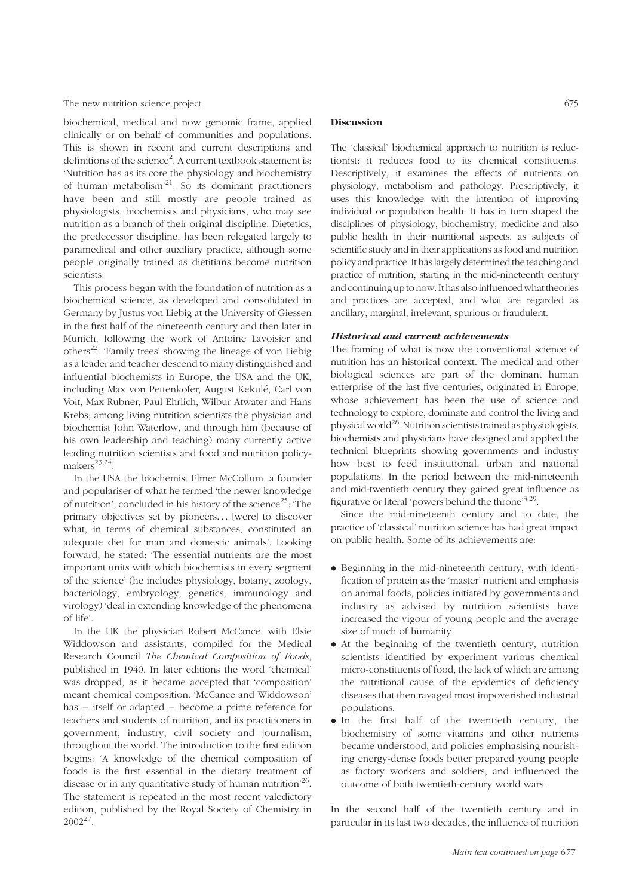biochemical, medical and now genomic frame, applied clinically or on behalf of communities and populations. This is shown in recent and current descriptions and definitions of the science<sup>2</sup>. A current textbook statement is: 'Nutrition has as its core the physiology and biochemistry of human metabolism'<sup>21</sup>. So its dominant practitioners have been and still mostly are people trained as physiologists, biochemists and physicians, who may see nutrition as a branch of their original discipline. Dietetics, the predecessor discipline, has been relegated largely to paramedical and other auxiliary practice, although some people originally trained as dietitians become nutrition scientists.

This process began with the foundation of nutrition as a biochemical science, as developed and consolidated in Germany by Justus von Liebig at the University of Giessen in the first half of the nineteenth century and then later in Munich, following the work of Antoine Lavoisier and others<sup>22</sup>. 'Family trees' showing the lineage of von Liebig as a leader and teacher descend to many distinguished and influential biochemists in Europe, the USA and the UK, including Max von Pettenkofer, August Kekulé, Carl von Voit, Max Rubner, Paul Ehrlich, Wilbur Atwater and Hans Krebs; among living nutrition scientists the physician and biochemist John Waterlow, and through him (because of his own leadership and teaching) many currently active leading nutrition scientists and food and nutrition policy $makers^{23,24}.$ 

In the USA the biochemist Elmer McCollum, a founder and populariser of what he termed 'the newer knowledge of nutrition', concluded in his history of the science<sup>25</sup>:  $\text{The}$ primary objectives set by pioneers... [were] to discover what, in terms of chemical substances, constituted an adequate diet for man and domestic animals'. Looking forward, he stated: 'The essential nutrients are the most important units with which biochemists in every segment of the science' (he includes physiology, botany, zoology, bacteriology, embryology, genetics, immunology and virology) 'deal in extending knowledge of the phenomena of life'.

In the UK the physician Robert McCance, with Elsie Widdowson and assistants, compiled for the Medical Research Council The Chemical Composition of Foods, published in 1940. In later editions the word 'chemical' was dropped, as it became accepted that 'composition' meant chemical composition. 'McCance and Widdowson' has – itself or adapted – become a prime reference for teachers and students of nutrition, and its practitioners in government, industry, civil society and journalism, throughout the world. The introduction to the first edition begins: 'A knowledge of the chemical composition of foods is the first essential in the dietary treatment of disease or in any quantitative study of human nutrition<sup>26</sup>. The statement is repeated in the most recent valedictory edition, published by the Royal Society of Chemistry in 200227.

# Discussion

The 'classical' biochemical approach to nutrition is reductionist: it reduces food to its chemical constituents. Descriptively, it examines the effects of nutrients on physiology, metabolism and pathology. Prescriptively, it uses this knowledge with the intention of improving individual or population health. It has in turn shaped the disciplines of physiology, biochemistry, medicine and also public health in their nutritional aspects, as subjects of scientific study and in their applications as food and nutrition policy and practice. It has largely determined the teaching and practice of nutrition, starting in the mid-nineteenth century and continuing upto now. It has also influenced whattheories and practices are accepted, and what are regarded as ancillary, marginal, irrelevant, spurious or fraudulent.

#### Historical and current achievements

The framing of what is now the conventional science of nutrition has an historical context. The medical and other biological sciences are part of the dominant human enterprise of the last five centuries, originated in Europe, whose achievement has been the use of science and technology to explore, dominate and control the living and physical world<sup>28</sup>. Nutrition scientists trained as physiologists, biochemists and physicians have designed and applied the technical blueprints showing governments and industry how best to feed institutional, urban and national populations. In the period between the mid-nineteenth and mid-twentieth century they gained great influence as figurative or literal 'powers behind the throne'<sup>3,29</sup>.

Since the mid-nineteenth century and to date, the practice of 'classical' nutrition science has had great impact on public health. Some of its achievements are:

- . Beginning in the mid-nineteenth century, with identification of protein as the 'master' nutrient and emphasis on animal foods, policies initiated by governments and industry as advised by nutrition scientists have increased the vigour of young people and the average size of much of humanity.
- . At the beginning of the twentieth century, nutrition scientists identified by experiment various chemical micro-constituents of food, the lack of which are among the nutritional cause of the epidemics of deficiency diseases that then ravaged most impoverished industrial populations.
- . In the first half of the twentieth century, the biochemistry of some vitamins and other nutrients became understood, and policies emphasising nourishing energy-dense foods better prepared young people as factory workers and soldiers, and influenced the outcome of both twentieth-century world wars.

In the second half of the twentieth century and in particular in its last two decades, the influence of nutrition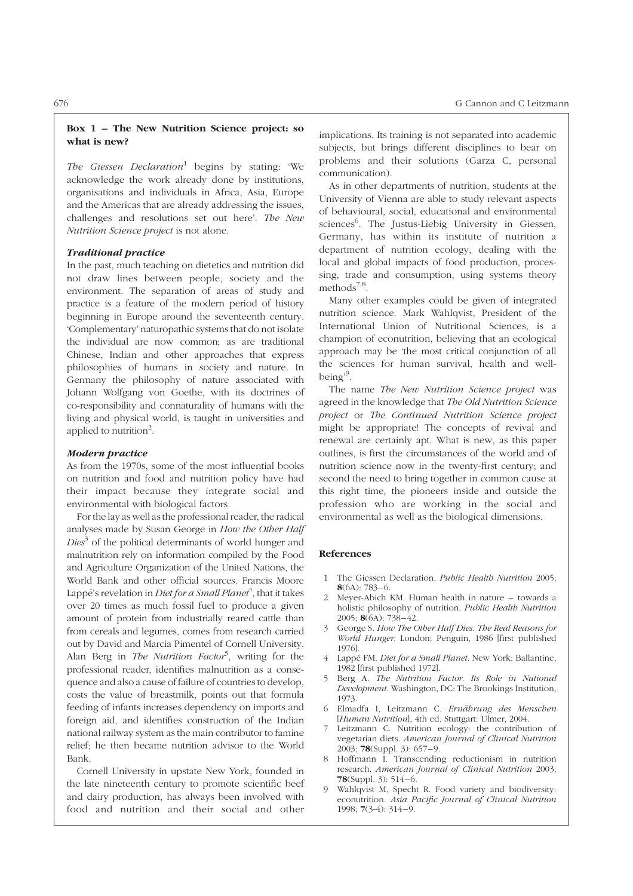The Giessen Declaration<sup>1</sup> begins by stating: 'We acknowledge the work already done by institutions, organisations and individuals in Africa, Asia, Europe and the Americas that are already addressing the issues, challenges and resolutions set out here'. The New Nutrition Science project is not alone.

# Traditional practice

In the past, much teaching on dietetics and nutrition did not draw lines between people, society and the environment. The separation of areas of study and practice is a feature of the modern period of history beginning in Europe around the seventeenth century. 'Complementary' naturopathic systems that do not isolate the individual are now common; as are traditional Chinese, Indian and other approaches that express philosophies of humans in society and nature. In Germany the philosophy of nature associated with Johann Wolfgang von Goethe, with its doctrines of co-responsibility and connaturality of humans with the living and physical world, is taught in universities and applied to nutrition<sup>2</sup>.

#### Modern practice

As from the 1970s, some of the most influential books on nutrition and food and nutrition policy have had their impact because they integrate social and environmental with biological factors.

For the lay as well as the professional reader, the radical analyses made by Susan George in How the Other Half  $Dies<sup>3</sup>$  of the political determinants of world hunger and malnutrition rely on information compiled by the Food and Agriculture Organization of the United Nations, the World Bank and other official sources. Francis Moore Lappé's revelation in *Diet for a Small Planet<sup>4</sup>, that it takes* over 20 times as much fossil fuel to produce a given amount of protein from industrially reared cattle than from cereals and legumes, comes from research carried out by David and Marcia Pimentel of Cornell University. Alan Berg in *The Nutrition Factor<sup>5</sup>*, writing for the professional reader, identifies malnutrition as a consequence and also a cause of failure of countries to develop, costs the value of breastmilk, points out that formula feeding of infants increases dependency on imports and foreign aid, and identifies construction of the Indian national railway system as the main contributor to famine relief; he then became nutrition advisor to the World Bank.

Cornell University in upstate New York, founded in the late nineteenth century to promote scientific beef and dairy production, has always been involved with food and nutrition and their social and other implications. Its training is not separated into academic subjects, but brings different disciplines to bear on problems and their solutions (Garza C, personal communication).

As in other departments of nutrition, students at the University of Vienna are able to study relevant aspects of behavioural, social, educational and environmental sciences<sup>6</sup>. The Justus-Liebig University in Giessen, Germany, has within its institute of nutrition a department of nutrition ecology, dealing with the local and global impacts of food production, processing, trade and consumption, using systems theory methods $7,8$ .

Many other examples could be given of integrated nutrition science. Mark Wahlqvist, President of the International Union of Nutritional Sciences, is a champion of econutrition, believing that an ecological approach may be 'the most critical conjunction of all the sciences for human survival, health and wellbeing'<sup>9</sup>.

The name The New Nutrition Science project was agreed in the knowledge that The Old Nutrition Science project or The Continued Nutrition Science project might be appropriate! The concepts of revival and renewal are certainly apt. What is new, as this paper outlines, is first the circumstances of the world and of nutrition science now in the twenty-first century; and second the need to bring together in common cause at this right time, the pioneers inside and outside the profession who are working in the social and environmental as well as the biological dimensions.

- 1 The Giessen Declaration. Public Health Nutrition 2005;  $8(6A): 783 - 6.$
- 2 Meyer-Abich KM. Human health in nature towards a holistic philosophy of nutrition. Public Health Nutrition 2005; 8(6A): 738-42.
- 3 George S. How The Other Half Dies. The Real Reasons for World Hunger. London: Penguin, 1986 [first published 1976].
- 4 Lappé FM. Diet for a Small Planet. New York: Ballantine, 1982 [first published 1972].
- 5 Berg A. The Nutrition Factor. Its Role in National Development. Washington, DC: The Brookings Institution, 1973.
- 6 Elmadfa I, Leitzmann C. Ernährung des Menschen [Human Nutrition], 4th ed. Stuttgart: Ulmer, 2004.
- 7 Leitzmann C. Nutrition ecology: the contribution of vegetarian diets. American Journal of Clinical Nutrition 2003; **78**(Suppl. 3): 657-9.
- 8 Hoffmann I. Transcending reductionism in nutrition research. American Journal of Clinical Nutrition 2003; 78 $(Suppl. 3): 514-6.$
- 9 Wahlqvist M, Specht R. Food variety and biodiversity: econutrition. Asia Pacific Journal of Clinical Nutrition 1998; 7(3-4): 314 – 9.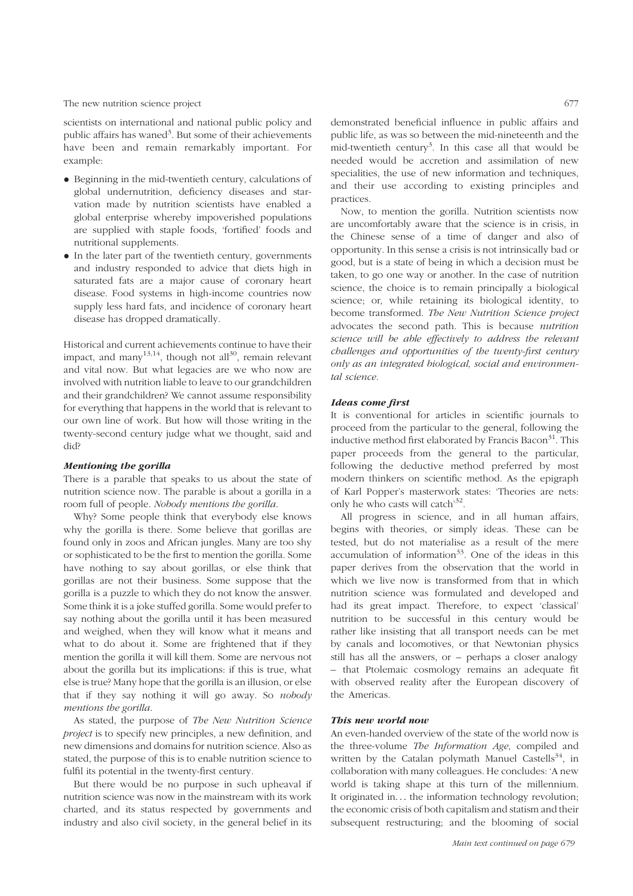scientists on international and national public policy and public affairs has waned<sup>3</sup>. But some of their achievements have been and remain remarkably important. For example:

- . Beginning in the mid-twentieth century, calculations of global undernutrition, deficiency diseases and starvation made by nutrition scientists have enabled a global enterprise whereby impoverished populations are supplied with staple foods, 'fortified' foods and nutritional supplements.
- . In the later part of the twentieth century, governments and industry responded to advice that diets high in saturated fats are a major cause of coronary heart disease. Food systems in high-income countries now supply less hard fats, and incidence of coronary heart disease has dropped dramatically.

Historical and current achievements continue to have their impact, and many<sup>13,14</sup>, though not all<sup>30</sup>, remain relevant and vital now. But what legacies are we who now are involved with nutrition liable to leave to our grandchildren and their grandchildren? We cannot assume responsibility for everything that happens in the world that is relevant to our own line of work. But how will those writing in the twenty-second century judge what we thought, said and did?

#### Mentioning the gorilla

There is a parable that speaks to us about the state of nutrition science now. The parable is about a gorilla in a room full of people. Nobody mentions the gorilla.

Why? Some people think that everybody else knows why the gorilla is there. Some believe that gorillas are found only in zoos and African jungles. Many are too shy or sophisticated to be the first to mention the gorilla. Some have nothing to say about gorillas, or else think that gorillas are not their business. Some suppose that the gorilla is a puzzle to which they do not know the answer. Some think it is a joke stuffed gorilla. Some would prefer to say nothing about the gorilla until it has been measured and weighed, when they will know what it means and what to do about it. Some are frightened that if they mention the gorilla it will kill them. Some are nervous not about the gorilla but its implications: if this is true, what else is true? Many hope that the gorilla is an illusion, or else that if they say nothing it will go away. So nobody mentions the gorilla.

As stated, the purpose of The New Nutrition Science project is to specify new principles, a new definition, and new dimensions and domains for nutrition science. Also as stated, the purpose of this is to enable nutrition science to fulfil its potential in the twenty-first century.

But there would be no purpose in such upheaval if nutrition science was now in the mainstream with its work charted, and its status respected by governments and industry and also civil society, in the general belief in its

demonstrated beneficial influence in public affairs and public life, as was so between the mid-nineteenth and the mid-twentieth century<sup>3</sup>. In this case all that would be needed would be accretion and assimilation of new specialities, the use of new information and techniques, and their use according to existing principles and practices.

Now, to mention the gorilla. Nutrition scientists now are uncomfortably aware that the science is in crisis, in the Chinese sense of a time of danger and also of opportunity. In this sense a crisis is not intrinsically bad or good, but is a state of being in which a decision must be taken, to go one way or another. In the case of nutrition science, the choice is to remain principally a biological science; or, while retaining its biological identity, to become transformed. The New Nutrition Science project advocates the second path. This is because nutrition science will be able effectively to address the relevant challenges and opportunities of the twenty-first century only as an integrated biological, social and environmental science.

# Ideas come first

It is conventional for articles in scientific journals to proceed from the particular to the general, following the inductive method first elaborated by Francis Bacon $31$ . This paper proceeds from the general to the particular, following the deductive method preferred by most modern thinkers on scientific method. As the epigraph of Karl Popper's masterwork states: 'Theories are nets: only he who casts will catch<sup>32</sup>.

All progress in science, and in all human affairs, begins with theories, or simply ideas. These can be tested, but do not materialise as a result of the mere accumulation of information $33$ . One of the ideas in this paper derives from the observation that the world in which we live now is transformed from that in which nutrition science was formulated and developed and had its great impact. Therefore, to expect 'classical' nutrition to be successful in this century would be rather like insisting that all transport needs can be met by canals and locomotives, or that Newtonian physics still has all the answers, or – perhaps a closer analogy – that Ptolemaic cosmology remains an adequate fit with observed reality after the European discovery of the Americas.

# This new world now

An even-handed overview of the state of the world now is the three-volume The Information Age, compiled and written by the Catalan polymath Manuel Castells<sup>34</sup>, in collaboration with many colleagues. He concludes: 'A new world is taking shape at this turn of the millennium. It originated in... the information technology revolution; the economic crisis of both capitalism and statism and their subsequent restructuring; and the blooming of social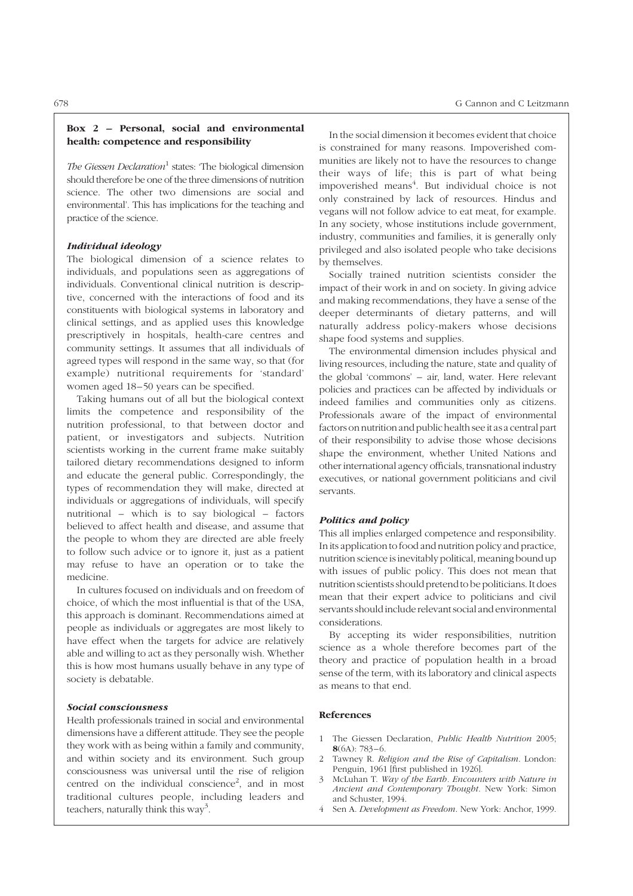# Box 2 – Personal, social and environmental health: competence and responsibility

The Giessen Declaration<sup>1</sup> states: 'The biological dimension should therefore be one of the three dimensions of nutrition science. The other two dimensions are social and environmental'. This has implications for the teaching and practice of the science.

# Individual ideology

The biological dimension of a science relates to individuals, and populations seen as aggregations of individuals. Conventional clinical nutrition is descriptive, concerned with the interactions of food and its constituents with biological systems in laboratory and clinical settings, and as applied uses this knowledge prescriptively in hospitals, health-care centres and community settings. It assumes that all individuals of agreed types will respond in the same way, so that (for example) nutritional requirements for 'standard' women aged 18–50 years can be specified.

Taking humans out of all but the biological context limits the competence and responsibility of the nutrition professional, to that between doctor and patient, or investigators and subjects. Nutrition scientists working in the current frame make suitably tailored dietary recommendations designed to inform and educate the general public. Correspondingly, the types of recommendation they will make, directed at individuals or aggregations of individuals, will specify nutritional – which is to say biological – factors believed to affect health and disease, and assume that the people to whom they are directed are able freely to follow such advice or to ignore it, just as a patient may refuse to have an operation or to take the medicine.

In cultures focused on individuals and on freedom of choice, of which the most influential is that of the USA, this approach is dominant. Recommendations aimed at people as individuals or aggregates are most likely to have effect when the targets for advice are relatively able and willing to act as they personally wish. Whether this is how most humans usually behave in any type of society is debatable.

# Social consciousness

Health professionals trained in social and environmental dimensions have a different attitude. They see the people they work with as being within a family and community, and within society and its environment. Such group consciousness was universal until the rise of religion centred on the individual conscience<sup>2</sup>, and in most traditional cultures people, including leaders and teachers, naturally think this way<sup>3</sup>.

In the social dimension it becomes evident that choice is constrained for many reasons. Impoverished communities are likely not to have the resources to change their ways of life; this is part of what being impoverished means<sup>4</sup>. But individual choice is not only constrained by lack of resources. Hindus and vegans will not follow advice to eat meat, for example. In any society, whose institutions include government, industry, communities and families, it is generally only privileged and also isolated people who take decisions by themselves.

Socially trained nutrition scientists consider the impact of their work in and on society. In giving advice and making recommendations, they have a sense of the deeper determinants of dietary patterns, and will naturally address policy-makers whose decisions shape food systems and supplies.

The environmental dimension includes physical and living resources, including the nature, state and quality of the global 'commons' – air, land, water. Here relevant policies and practices can be affected by individuals or indeed families and communities only as citizens. Professionals aware of the impact of environmental factors on nutrition and public health see it as a central part of their responsibility to advise those whose decisions shape the environment, whether United Nations and other international agency officials, transnational industry executives, or national government politicians and civil servants.

# Politics and policy

This all implies enlarged competence and responsibility. In its application to food and nutrition policy and practice, nutrition science is inevitably political, meaning bound up with issues of public policy. This does not mean that nutrition scientists should pretendto be politicians. It does mean that their expert advice to politicians and civil servants should include relevant social and environmental considerations.

By accepting its wider responsibilities, nutrition science as a whole therefore becomes part of the theory and practice of population health in a broad sense of the term, with its laboratory and clinical aspects as means to that end.

- 1 The Giessen Declaration, Public Health Nutrition 2005;  $8(6A): 783 - 6.$
- Tawney R. Religion and the Rise of Capitalism. London: Penguin, 1961 [first published in 1926].
- 3 McLuhan T. Way of the Earth. Encounters with Nature in Ancient and Contemporary Thought. New York: Simon and Schuster, 1994.
- Sen A. Development as Freedom. New York: Anchor, 1999.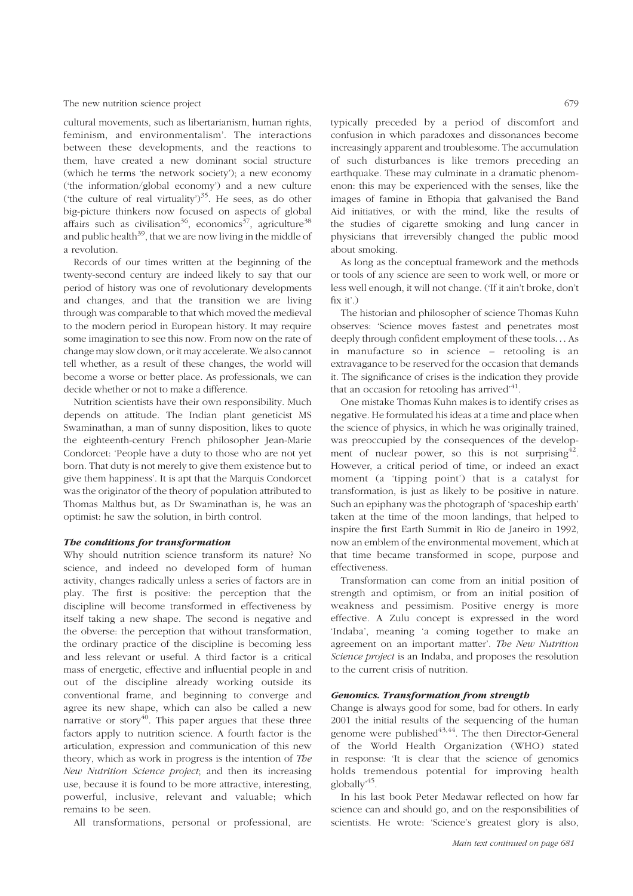cultural movements, such as libertarianism, human rights, feminism, and environmentalism'. The interactions between these developments, and the reactions to them, have created a new dominant social structure (which he terms 'the network society'); a new economy ('the information/global economy') and a new culture ('the culture of real virtuality') $35$ . He sees, as do other big-picture thinkers now focused on aspects of global affairs such as civilisation<sup>36</sup>, economics<sup>37</sup>, agriculture<sup>38</sup> and public health $39$ , that we are now living in the middle of a revolution.

Records of our times written at the beginning of the twenty-second century are indeed likely to say that our period of history was one of revolutionary developments and changes, and that the transition we are living through was comparable to that which moved the medieval to the modern period in European history. It may require some imagination to see this now. From now on the rate of change may slow down, or it may accelerate. We also cannot tell whether, as a result of these changes, the world will become a worse or better place. As professionals, we can decide whether or not to make a difference.

Nutrition scientists have their own responsibility. Much depends on attitude. The Indian plant geneticist MS Swaminathan, a man of sunny disposition, likes to quote the eighteenth-century French philosopher Jean-Marie Condorcet: 'People have a duty to those who are not yet born. That duty is not merely to give them existence but to give them happiness'. It is apt that the Marquis Condorcet was the originator of the theory of population attributed to Thomas Malthus but, as Dr Swaminathan is, he was an optimist: he saw the solution, in birth control.

#### The conditions for transformation

Why should nutrition science transform its nature? No science, and indeed no developed form of human activity, changes radically unless a series of factors are in play. The first is positive: the perception that the discipline will become transformed in effectiveness by itself taking a new shape. The second is negative and the obverse: the perception that without transformation, the ordinary practice of the discipline is becoming less and less relevant or useful. A third factor is a critical mass of energetic, effective and influential people in and out of the discipline already working outside its conventional frame, and beginning to converge and agree its new shape, which can also be called a new narrative or story<sup>40</sup>. This paper argues that these three factors apply to nutrition science. A fourth factor is the articulation, expression and communication of this new theory, which as work in progress is the intention of The New Nutrition Science project; and then its increasing use, because it is found to be more attractive, interesting, powerful, inclusive, relevant and valuable; which remains to be seen.

All transformations, personal or professional, are

typically preceded by a period of discomfort and confusion in which paradoxes and dissonances become increasingly apparent and troublesome. The accumulation of such disturbances is like tremors preceding an earthquake. These may culminate in a dramatic phenomenon: this may be experienced with the senses, like the images of famine in Ethopia that galvanised the Band Aid initiatives, or with the mind, like the results of the studies of cigarette smoking and lung cancer in physicians that irreversibly changed the public mood about smoking.

As long as the conceptual framework and the methods or tools of any science are seen to work well, or more or less well enough, it will not change. ('If it ain't broke, don't fix it'.)

The historian and philosopher of science Thomas Kuhn observes: 'Science moves fastest and penetrates most deeply through confident employment of these tools... As in manufacture so in science – retooling is an extravagance to be reserved for the occasion that demands it. The significance of crises is the indication they provide that an occasion for retooling has arrived $14$ .

One mistake Thomas Kuhn makes is to identify crises as negative. He formulated his ideas at a time and place when the science of physics, in which he was originally trained, was preoccupied by the consequences of the development of nuclear power, so this is not surprising  $4^2$ . However, a critical period of time, or indeed an exact moment (a 'tipping point') that is a catalyst for transformation, is just as likely to be positive in nature. Such an epiphany was the photograph of 'spaceship earth' taken at the time of the moon landings, that helped to inspire the first Earth Summit in Rio de Janeiro in 1992, now an emblem of the environmental movement, which at that time became transformed in scope, purpose and effectiveness.

Transformation can come from an initial position of strength and optimism, or from an initial position of weakness and pessimism. Positive energy is more effective. A Zulu concept is expressed in the word 'Indaba', meaning 'a coming together to make an agreement on an important matter'. The New Nutrition Science project is an Indaba, and proposes the resolution to the current crisis of nutrition.

#### Genomics. Transformation from strength

Change is always good for some, bad for others. In early 2001 the initial results of the sequencing of the human genome were published $43,44$ . The then Director-General of the World Health Organization (WHO) stated in response: 'It is clear that the science of genomics holds tremendous potential for improving health globally'45.

In his last book Peter Medawar reflected on how far science can and should go, and on the responsibilities of scientists. He wrote: 'Science's greatest glory is also,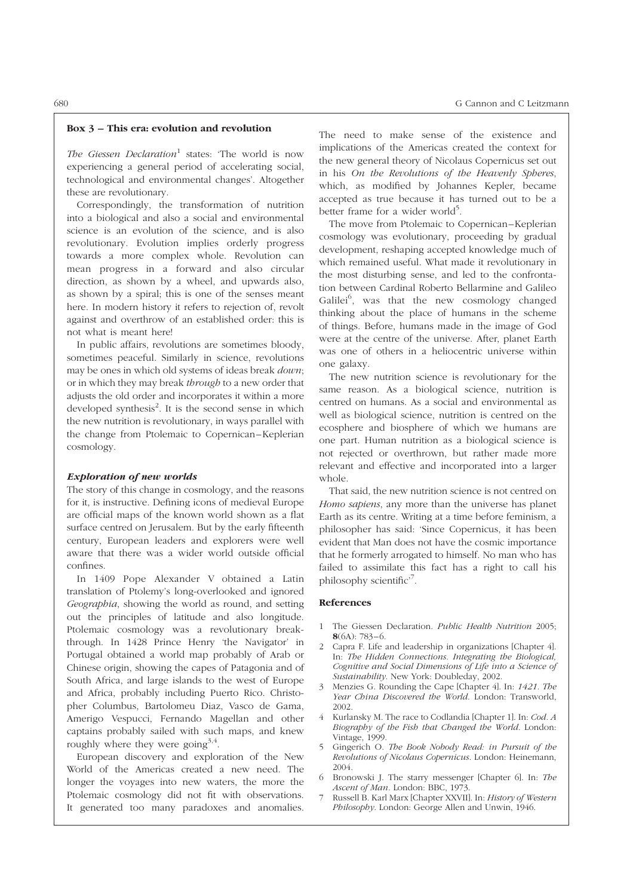#### Box 3 – This era: evolution and revolution

The Giessen Declaration<sup>1</sup> states: 'The world is now experiencing a general period of accelerating social, technological and environmental changes'. Altogether these are revolutionary.

Correspondingly, the transformation of nutrition into a biological and also a social and environmental science is an evolution of the science, and is also revolutionary. Evolution implies orderly progress towards a more complex whole. Revolution can mean progress in a forward and also circular direction, as shown by a wheel, and upwards also, as shown by a spiral; this is one of the senses meant here. In modern history it refers to rejection of, revolt against and overthrow of an established order: this is not what is meant here!

In public affairs, revolutions are sometimes bloody, sometimes peaceful. Similarly in science, revolutions may be ones in which old systems of ideas break *down*: or in which they may break *through* to a new order that adjusts the old order and incorporates it within a more developed synthesis<sup>2</sup>. It is the second sense in which the new nutrition is revolutionary, in ways parallel with the change from Ptolemaic to Copernican –Keplerian cosmology.

# Exploration of new worlds

The story of this change in cosmology, and the reasons for it, is instructive. Defining icons of medieval Europe are official maps of the known world shown as a flat surface centred on Jerusalem. But by the early fifteenth century, European leaders and explorers were well aware that there was a wider world outside official confines.

In 1409 Pope Alexander V obtained a Latin translation of Ptolemy's long-overlooked and ignored Geographia, showing the world as round, and setting out the principles of latitude and also longitude. Ptolemaic cosmology was a revolutionary breakthrough. In 1428 Prince Henry 'the Navigator' in Portugal obtained a world map probably of Arab or Chinese origin, showing the capes of Patagonia and of South Africa, and large islands to the west of Europe and Africa, probably including Puerto Rico. Christopher Columbus, Bartolomeu Diaz, Vasco de Gama, Amerigo Vespucci, Fernando Magellan and other captains probably sailed with such maps, and knew roughly where they were going<sup>3,4</sup>.

European discovery and exploration of the New World of the Americas created a new need. The longer the voyages into new waters, the more the Ptolemaic cosmology did not fit with observations. It generated too many paradoxes and anomalies.

The need to make sense of the existence and implications of the Americas created the context for the new general theory of Nicolaus Copernicus set out in his On the Revolutions of the Heavenly Spheres, which, as modified by Johannes Kepler, became accepted as true because it has turned out to be a better frame for a wider world<sup>5</sup>.

The move from Ptolemaic to Copernican–Keplerian cosmology was evolutionary, proceeding by gradual development, reshaping accepted knowledge much of which remained useful. What made it revolutionary in the most disturbing sense, and led to the confrontation between Cardinal Roberto Bellarmine and Galileo Galilei<sup>6</sup>, was that the new cosmology changed thinking about the place of humans in the scheme of things. Before, humans made in the image of God were at the centre of the universe. After, planet Earth was one of others in a heliocentric universe within one galaxy.

The new nutrition science is revolutionary for the same reason. As a biological science, nutrition is centred on humans. As a social and environmental as well as biological science, nutrition is centred on the ecosphere and biosphere of which we humans are one part. Human nutrition as a biological science is not rejected or overthrown, but rather made more relevant and effective and incorporated into a larger whole.

That said, the new nutrition science is not centred on Homo sapiens, any more than the universe has planet Earth as its centre. Writing at a time before feminism, a philosopher has said: 'Since Copernicus, it has been evident that Man does not have the cosmic importance that he formerly arrogated to himself. No man who has failed to assimilate this fact has a right to call his philosophy scientific'7.

- 1 The Giessen Declaration. Public Health Nutrition 2005;  $8(6A): 783 - 6.$
- 2 Capra F. Life and leadership in organizations [Chapter 4]. In: The Hidden Connections. Integrating the Biological, Cognitive and Social Dimensions of Life into a Science of Sustainability. New York: Doubleday, 2002.
- 3 Menzies G. Rounding the Cape [Chapter 4]. In: 1421. The Year China Discovered the World. London: Transworld, 2002.
- 4 Kurlansky M. The race to Codlandia [Chapter 1]. In: Cod. A Biography of the Fish that Changed the World. London: Vintage, 1999.
- 5 Gingerich O. The Book Nobody Read: in Pursuit of the Revolutions of Nicolaus Copernicus. London: Heinemann, 2004.
- 6 Bronowski J. The starry messenger [Chapter 6]. In: The Ascent of Man. London: BBC, 1973.
- 7 Russell B. Karl Marx [Chapter XXVII]. In: History of Western Philosophy. London: George Allen and Unwin, 1946.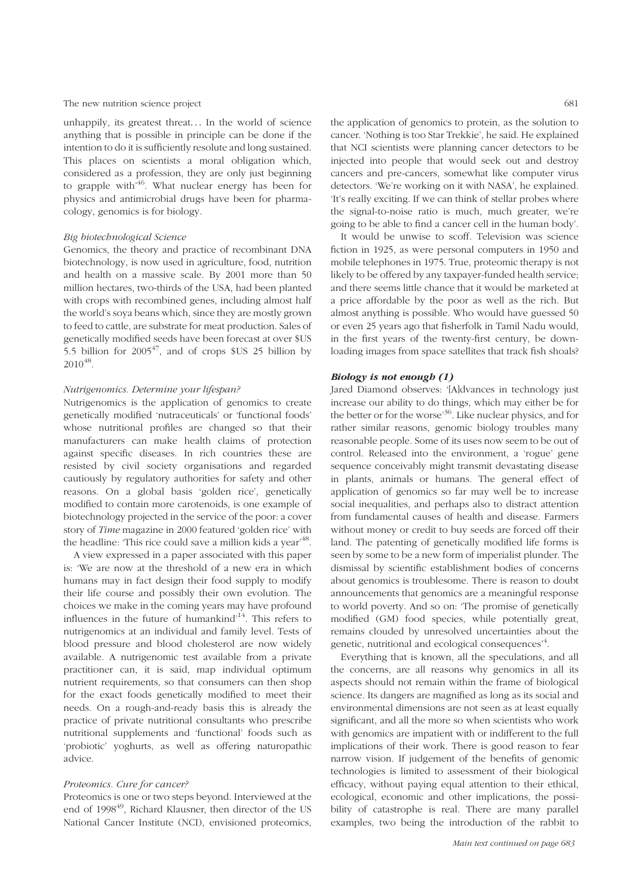unhappily, its greatest threat... In the world of science anything that is possible in principle can be done if the intention to do it is sufficiently resolute and long sustained. This places on scientists a moral obligation which, considered as a profession, they are only just beginning to grapple with<sup> $46$ </sup>. What nuclear energy has been for physics and antimicrobial drugs have been for pharmacology, genomics is for biology.

# Big biotechnological Science

Genomics, the theory and practice of recombinant DNA biotechnology, is now used in agriculture, food, nutrition and health on a massive scale. By 2001 more than 50 million hectares, two-thirds of the USA, had been planted with crops with recombined genes, including almost half the world's soya beans which, since they are mostly grown to feed to cattle, are substrate for meat production. Sales of genetically modified seeds have been forecast at over \$US 5.5 billion for  $2005^{47}$ , and of crops \$US 25 billion by 201048.

# Nutrigenomics. Determine your lifespan?

Nutrigenomics is the application of genomics to create genetically modified 'nutraceuticals' or 'functional foods' whose nutritional profiles are changed so that their manufacturers can make health claims of protection against specific diseases. In rich countries these are resisted by civil society organisations and regarded cautiously by regulatory authorities for safety and other reasons. On a global basis 'golden rice', genetically modified to contain more carotenoids, is one example of biotechnology projected in the service of the poor: a cover story of Time magazine in 2000 featured 'golden rice' with the headline: 'This rice could save a million kids a year'<sup>48</sup>.

A view expressed in a paper associated with this paper is: 'We are now at the threshold of a new era in which humans may in fact design their food supply to modify their life course and possibly their own evolution. The choices we make in the coming years may have profound influences in the future of humankind'14. This refers to nutrigenomics at an individual and family level. Tests of blood pressure and blood cholesterol are now widely available. A nutrigenomic test available from a private practitioner can, it is said, map individual optimum nutrient requirements, so that consumers can then shop for the exact foods genetically modified to meet their needs. On a rough-and-ready basis this is already the practice of private nutritional consultants who prescribe nutritional supplements and 'functional' foods such as 'probiotic' yoghurts, as well as offering naturopathic advice.

# Proteomics. Cure for cancer?

Proteomics is one or two steps beyond. Interviewed at the end of 1998<sup>49</sup>, Richard Klausner, then director of the US National Cancer Institute (NCI), envisioned proteomics,

the application of genomics to protein, as the solution to cancer. 'Nothing is too Star Trekkie', he said. He explained that NCI scientists were planning cancer detectors to be injected into people that would seek out and destroy cancers and pre-cancers, somewhat like computer virus detectors. 'We're working on it with NASA', he explained. 'It's really exciting. If we can think of stellar probes where the signal-to-noise ratio is much, much greater, we're going to be able to find a cancer cell in the human body'.

It would be unwise to scoff. Television was science fiction in 1925, as were personal computers in 1950 and mobile telephones in 1975. True, proteomic therapy is not likely to be offered by any taxpayer-funded health service; and there seems little chance that it would be marketed at a price affordable by the poor as well as the rich. But almost anything is possible. Who would have guessed 50 or even 25 years ago that fisherfolk in Tamil Nadu would, in the first years of the twenty-first century, be downloading images from space satellites that track fish shoals?

# Biology is not enough (1)

Jared Diamond observes: '[A]dvances in technology just increase our ability to do things, which may either be for the better or for the worse'36. Like nuclear physics, and for rather similar reasons, genomic biology troubles many reasonable people. Some of its uses now seem to be out of control. Released into the environment, a 'rogue' gene sequence conceivably might transmit devastating disease in plants, animals or humans. The general effect of application of genomics so far may well be to increase social inequalities, and perhaps also to distract attention from fundamental causes of health and disease. Farmers without money or credit to buy seeds are forced off their land. The patenting of genetically modified life forms is seen by some to be a new form of imperialist plunder. The dismissal by scientific establishment bodies of concerns about genomics is troublesome. There is reason to doubt announcements that genomics are a meaningful response to world poverty. And so on: 'The promise of genetically modified (GM) food species, while potentially great, remains clouded by unresolved uncertainties about the genetic, nutritional and ecological consequences<sup>,4</sup>.

Everything that is known, all the speculations, and all the concerns, are all reasons why genomics in all its aspects should not remain within the frame of biological science. Its dangers are magnified as long as its social and environmental dimensions are not seen as at least equally significant, and all the more so when scientists who work with genomics are impatient with or indifferent to the full implications of their work. There is good reason to fear narrow vision. If judgement of the benefits of genomic technologies is limited to assessment of their biological efficacy, without paying equal attention to their ethical, ecological, economic and other implications, the possibility of catastrophe is real. There are many parallel examples, two being the introduction of the rabbit to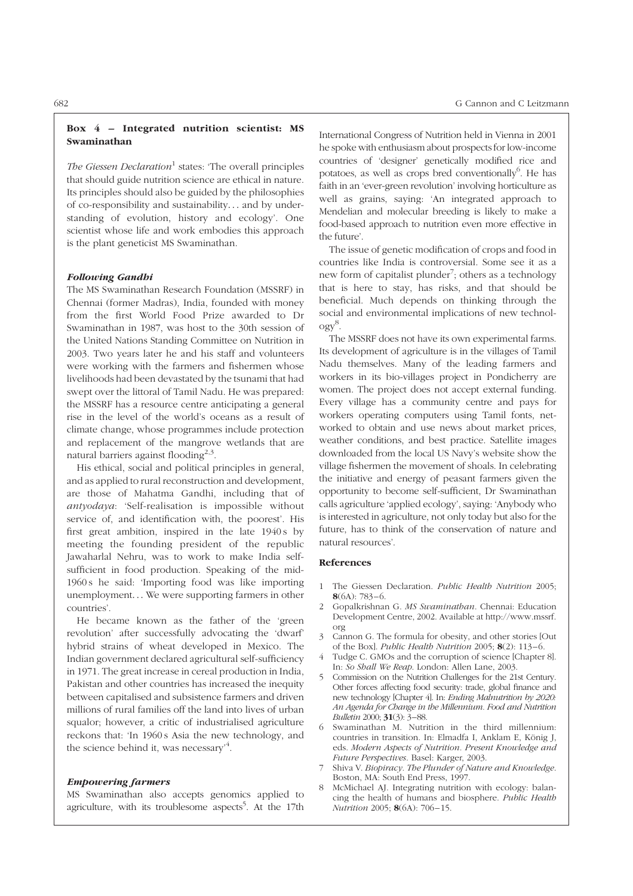# Box 4 – Integrated nutrition scientist: MS Swaminathan

The Giessen Declaration<sup>1</sup> states: 'The overall principles that should guide nutrition science are ethical in nature. Its principles should also be guided by the philosophies of co-responsibility and sustainability... and by understanding of evolution, history and ecology'. One scientist whose life and work embodies this approach is the plant geneticist MS Swaminathan.

# Following Gandhi

The MS Swaminathan Research Foundation (MSSRF) in Chennai (former Madras), India, founded with money from the first World Food Prize awarded to Dr Swaminathan in 1987, was host to the 30th session of the United Nations Standing Committee on Nutrition in 2003. Two years later he and his staff and volunteers were working with the farmers and fishermen whose livelihoods had been devastated by the tsunami that had swept over the littoral of Tamil Nadu. He was prepared: the MSSRF has a resource centre anticipating a general rise in the level of the world's oceans as a result of climate change, whose programmes include protection and replacement of the mangrove wetlands that are natural barriers against flooding<sup>2,3</sup>.

His ethical, social and political principles in general, and as applied to rural reconstruction and development, are those of Mahatma Gandhi, including that of antyodaya: 'Self-realisation is impossible without service of, and identification with, the poorest'. His first great ambition, inspired in the late 1940s by meeting the founding president of the republic Jawaharlal Nehru, was to work to make India selfsufficient in food production. Speaking of the mid-1960 s he said: 'Importing food was like importing unemployment... We were supporting farmers in other countries'.

He became known as the father of the 'green revolution' after successfully advocating the 'dwarf' hybrid strains of wheat developed in Mexico. The Indian government declared agricultural self-sufficiency in 1971. The great increase in cereal production in India, Pakistan and other countries has increased the inequity between capitalised and subsistence farmers and driven millions of rural families off the land into lives of urban squalor; however, a critic of industrialised agriculture reckons that: 'In 1960 s Asia the new technology, and the science behind it, was necessary<sup>3</sup>.

#### Empowering farmers

MS Swaminathan also accepts genomics applied to agriculture, with its troublesome aspects<sup>5</sup>. At the 17th

International Congress of Nutrition held in Vienna in 2001 he spoke with enthusiasm about prospects for low-income countries of 'designer' genetically modified rice and potatoes, as well as crops bred conventionally<sup>6</sup>. He has faith in an 'ever-green revolution' involving horticulture as well as grains, saying: 'An integrated approach to Mendelian and molecular breeding is likely to make a food-based approach to nutrition even more effective in the future'.

The issue of genetic modification of crops and food in countries like India is controversial. Some see it as a new form of capitalist plunder<sup>7</sup>; others as a technology that is here to stay, has risks, and that should be beneficial. Much depends on thinking through the social and environmental implications of new technology<sup>8</sup> .

The MSSRF does not have its own experimental farms. Its development of agriculture is in the villages of Tamil Nadu themselves. Many of the leading farmers and workers in its bio-villages project in Pondicherry are women. The project does not accept external funding. Every village has a community centre and pays for workers operating computers using Tamil fonts, networked to obtain and use news about market prices, weather conditions, and best practice. Satellite images downloaded from the local US Navy's website show the village fishermen the movement of shoals. In celebrating the initiative and energy of peasant farmers given the opportunity to become self-sufficient, Dr Swaminathan calls agriculture 'applied ecology', saying: 'Anybody who is interested in agriculture, not only today but also for the future, has to think of the conservation of nature and natural resources'.

- The Giessen Declaration. Public Health Nutrition 2005;  $8(6A): 783 - 6.$
- 2 Gopalkrishnan G. MS Swaminathan. Chennai: Education Development Centre, 2002. Available at http://www.mssrf. org
- 3 Cannon G. The formula for obesity, and other stories [Out of the Box]. Public Health Nutrition 2005;  $8(2)$ : 113-6.
- Tudge C. GMOs and the corruption of science [Chapter 8]. In: So Shall We Reap. London: Allen Lane, 2003.
- 5 Commission on the Nutrition Challenges for the 21st Century. Other forces affecting food security: trade, global finance and new technology [Chapter 4]. In: Ending Malnutrition by 2020: An Agenda for Change in the Millennium. Food and Nutrition Bulletin 2000; 31(3): 3–88.
- 6 Swaminathan M. Nutrition in the third millennium: countries in transition. In: Elmadfa I, Anklam E, König J, eds. Modern Aspects of Nutrition. Present Knowledge and Future Perspectives. Basel: Karger, 2003.
- Shiva V. Biopiracy. The Plunder of Nature and Knowledge. Boston, MA: South End Press, 1997.
- McMichael AJ. Integrating nutrition with ecology: balancing the health of humans and biosphere. Public Health Nutrition 2005; 8(6A): 706-15.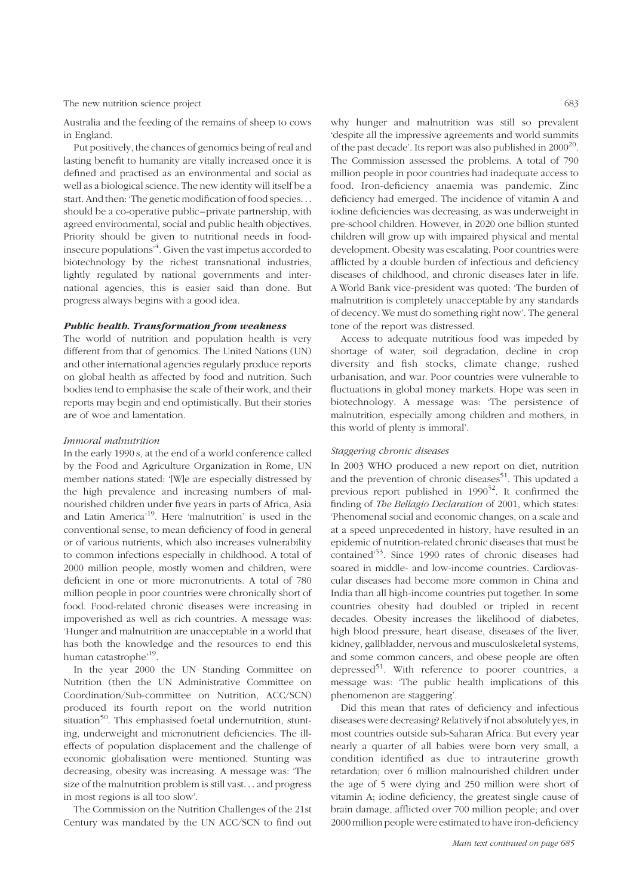Australia and the feeding of the remains of sheep to cows in England.

Put positively, the chances of genomics being of real and lasting benefit to humanity are vitally increased once it is defined and practised as an environmental and social as well as a biological science. The new identity will itself be a start. And then: 'The genetic modification of food species... should be a co-operative public –private partnership, with agreed environmental, social and public health objectives. Priority should be given to nutritional needs in foodinsecure populations'<sup>4</sup>. Given the vast impetus accorded to biotechnology by the richest transnational industries, lightly regulated by national governments and international agencies, this is easier said than done. But progress always begins with a good idea.

# Public health. Transformation from weakness

The world of nutrition and population health is very different from that of genomics. The United Nations (UN) and other international agencies regularly produce reports on global health as affected by food and nutrition. Such bodies tend to emphasise the scale of their work, and their reports may begin and end optimistically. But their stories are of woe and lamentation.

# Immoral malnutrition

In the early 1990 s, at the end of a world conference called by the Food and Agriculture Organization in Rome, UN member nations stated: '[W]e are especially distressed by the high prevalence and increasing numbers of malnourished children under five years in parts of Africa, Asia and Latin America'19. Here 'malnutrition' is used in the conventional sense, to mean deficiency of food in general or of various nutrients, which also increases vulnerability to common infections especially in childhood. A total of 2000 million people, mostly women and children, were deficient in one or more micronutrients. A total of 780 million people in poor countries were chronically short of food. Food-related chronic diseases were increasing in impoverished as well as rich countries. A message was: 'Hunger and malnutrition are unacceptable in a world that has both the knowledge and the resources to end this human catastrophe<sup>,19</sup>.

In the year 2000 the UN Standing Committee on Nutrition (then the UN Administrative Committee on Coordination/Sub-committee on Nutrition, ACC/SCN) produced its fourth report on the world nutrition situation<sup>50</sup>. This emphasised foetal undernutrition, stunting, underweight and micronutrient deficiencies. The illeffects of population displacement and the challenge of economic globalisation were mentioned. Stunting was decreasing, obesity was increasing. A message was: 'The size of the malnutrition problem is still vast... and progress in most regions is all too slow'.

The Commission on the Nutrition Challenges of the 21st Century was mandated by the UN ACC/SCN to find out

why hunger and malnutrition was still so prevalent 'despite all the impressive agreements and world summits of the past decade'. Its report was also published in  $2000^{20}$ . The Commission assessed the problems. A total of 790 million people in poor countries had inadequate access to food. Iron-deficiency anaemia was pandemic. Zinc deficiency had emerged. The incidence of vitamin A and iodine deficiencies was decreasing, as was underweight in pre-school children. However, in 2020 one billion stunted children will grow up with impaired physical and mental development. Obesity was escalating. Poor countries were afflicted by a double burden of infectious and deficiency diseases of childhood, and chronic diseases later in life. A World Bank vice-president was quoted: 'The burden of malnutrition is completely unacceptable by any standards of decency. We must do something right now'. The general tone of the report was distressed.

Access to adequate nutritious food was impeded by shortage of water, soil degradation, decline in crop diversity and fish stocks, climate change, rushed urbanisation, and war. Poor countries were vulnerable to fluctuations in global money markets. Hope was seen in biotechnology. A message was: 'The persistence of malnutrition, especially among children and mothers, in this world of plenty is immoral'.

# Staggering chronic diseases

In 2003 WHO produced a new report on diet, nutrition and the prevention of chronic diseases<sup>51</sup>. This updated a previous report published in  $1990^{52}$ . It confirmed the finding of The Bellagio Declaration of 2001, which states: 'Phenomenal social and economic changes, on a scale and at a speed unprecedented in history, have resulted in an epidemic of nutrition-related chronic diseases that must be contained'53. Since 1990 rates of chronic diseases had soared in middle- and low-income countries. Cardiovascular diseases had become more common in China and India than all high-income countries put together. In some countries obesity had doubled or tripled in recent decades. Obesity increases the likelihood of diabetes, high blood pressure, heart disease, diseases of the liver, kidney, gallbladder, nervous and musculoskeletal systems, and some common cancers, and obese people are often depressed<sup>51</sup>. With reference to poorer countries, a message was: 'The public health implications of this phenomenon are staggering'.

Did this mean that rates of deficiency and infectious diseases were decreasing? Relatively if not absolutely yes, in most countries outside sub-Saharan Africa. But every year nearly a quarter of all babies were born very small, a condition identified as due to intrauterine growth retardation; over 6 million malnourished children under the age of 5 were dying and 250 million were short of vitamin A; iodine deficiency, the greatest single cause of brain damage, afflicted over 700 million people; and over 2000 million people were estimated to have iron-deficiency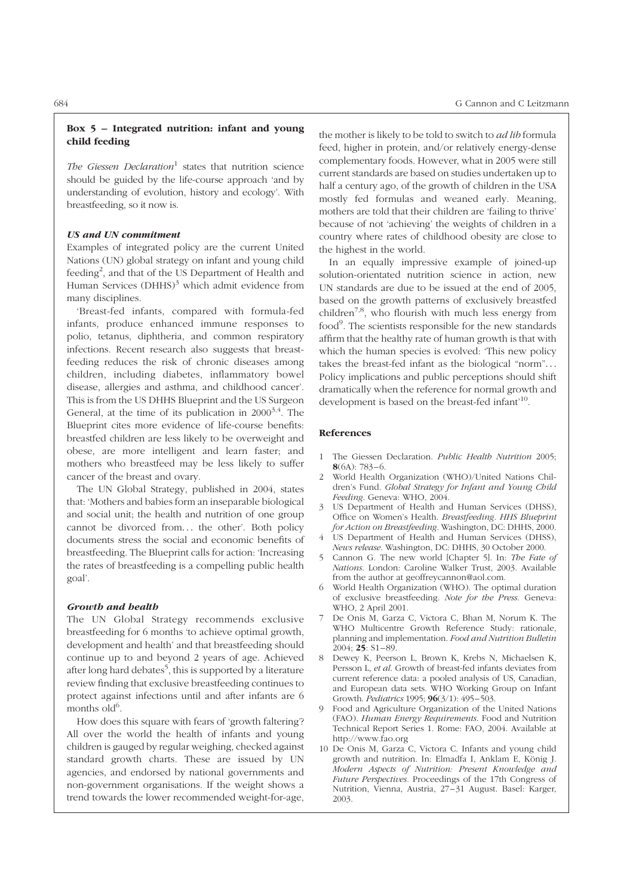# Box 5 – Integrated nutrition: infant and young child feeding

The Giessen Declaration<sup>1</sup> states that nutrition science should be guided by the life-course approach 'and by understanding of evolution, history and ecology'. With breastfeeding, so it now is.

# US and UN commitment

Examples of integrated policy are the current United Nations (UN) global strategy on infant and young child feeding<sup>2</sup>, and that of the US Department of Health and Human Services (DHHS)<sup>3</sup> which admit evidence from many disciplines.

'Breast-fed infants, compared with formula-fed infants, produce enhanced immune responses to polio, tetanus, diphtheria, and common respiratory infections. Recent research also suggests that breastfeeding reduces the risk of chronic diseases among children, including diabetes, inflammatory bowel disease, allergies and asthma, and childhood cancer'. This is from the US DHHS Blueprint and the US Surgeon General, at the time of its publication in  $2000^{3,4}$ . The Blueprint cites more evidence of life-course benefits: breastfed children are less likely to be overweight and obese, are more intelligent and learn faster; and mothers who breastfeed may be less likely to suffer cancer of the breast and ovary.

The UN Global Strategy, published in 2004, states that: 'Mothers and babies form an inseparable biological and social unit; the health and nutrition of one group cannot be divorced from... the other'. Both policy documents stress the social and economic benefits of breastfeeding. The Blueprint calls for action: 'Increasing the rates of breastfeeding is a compelling public health goal'.

# Growth and health

The UN Global Strategy recommends exclusive breastfeeding for 6 months 'to achieve optimal growth, development and health' and that breastfeeding should continue up to and beyond 2 years of age. Achieved after long hard debates $^5$ , this is supported by a literature review finding that exclusive breastfeeding continues to protect against infections until and after infants are 6 months old<sup>6</sup>.

How does this square with fears of 'growth faltering'? All over the world the health of infants and young children is gauged by regular weighing, checked against standard growth charts. These are issued by UN agencies, and endorsed by national governments and non-government organisations. If the weight shows a trend towards the lower recommended weight-for-age, the mother is likely to be told to switch to ad lib formula feed, higher in protein, and/or relatively energy-dense complementary foods. However, what in 2005 were still current standards are based on studies undertaken up to half a century ago, of the growth of children in the USA mostly fed formulas and weaned early. Meaning, mothers are told that their children are 'failing to thrive' because of not 'achieving' the weights of children in a country where rates of childhood obesity are close to the highest in the world.

In an equally impressive example of joined-up solution-orientated nutrition science in action, new UN standards are due to be issued at the end of 2005, based on the growth patterns of exclusively breastfed children<sup>7,8</sup>, who flourish with much less energy from food<sup>9</sup>. The scientists responsible for the new standards affirm that the healthy rate of human growth is that with which the human species is evolved: 'This new policy takes the breast-fed infant as the biological "norm"... Policy implications and public perceptions should shift dramatically when the reference for normal growth and development is based on the breast-fed infant<sup>10</sup>.

- The Giessen Declaration. Public Health Nutrition 2005;  $8(6A) \cdot 783 - 6$
- 2 World Health Organization (WHO)/United Nations Children's Fund. Global Strategy for Infant and Young Child Feeding. Geneva: WHO, 2004.
- US Department of Health and Human Services (DHSS), Office on Women's Health. Breastfeeding. HHS Blueprint for Action on Breastfeeding. Washington, DC: DHHS, 2000.
- US Department of Health and Human Services (DHSS), News release. Washington, DC: DHHS, 30 October 2000.
- 5 Cannon G. The new world [Chapter 5]. In: The Fate of Nations. London: Caroline Walker Trust, 2003. Available from the author at geoffreycannon@aol.com.
- 6 World Health Organization (WHO). The optimal duration of exclusive breastfeeding. Note for the Press. Geneva: WHO, 2 April 2001.
- 7 De Onis M, Garza C, Victora C, Bhan M, Norum K. The WHO Multicentre Growth Reference Study: rationale, planning and implementation. Food and Nutrition Bulletin  $2004$ ;  $25: S1-89$ .
- 8 Dewey K, Peerson L, Brown K, Krebs N, Michaelsen K, Persson L, et al. Growth of breast-fed infants deviates from current reference data: a pooled analysis of US, Canadian, and European data sets. WHO Working Group on Infant Growth. Pediatrics 1995; 96(3/1): 495–503.
- 9 Food and Agriculture Organization of the United Nations (FAO). Human Energy Requirements. Food and Nutrition Technical Report Series 1. Rome: FAO, 2004. Available at http://www.fao.org
- 10 De Onis M, Garza C, Victora C. Infants and young child growth and nutrition. In: Elmadfa I, Anklam E, König J. Modern Aspects of Nutrition: Present Knowledge and Future Perspectives. Proceedings of the 17th Congress of Nutrition, Vienna, Austria, 27-31 August. Basel: Karger, 2003.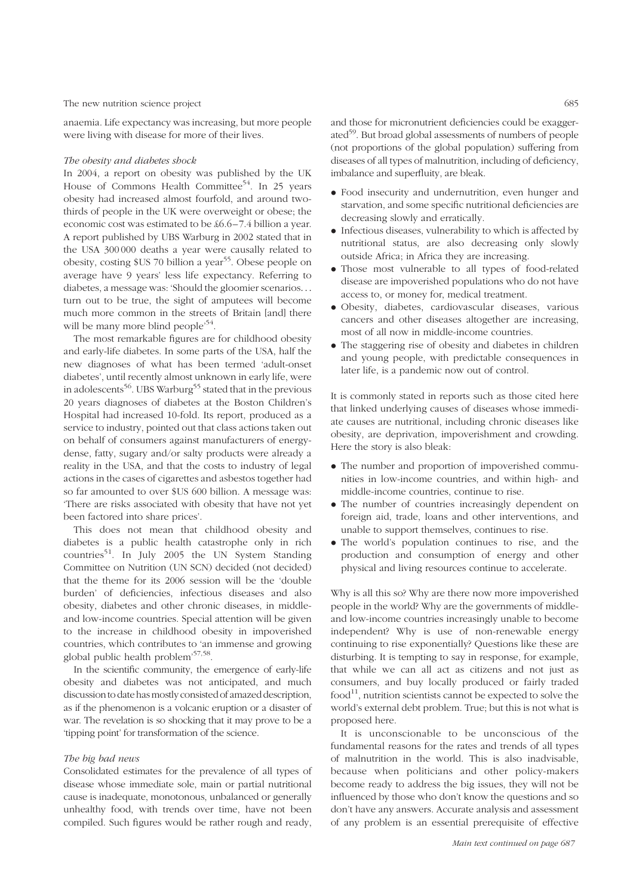anaemia. Life expectancy was increasing, but more people were living with disease for more of their lives.

#### The obesity and diabetes shock

In 2004, a report on obesity was published by the UK House of Commons Health Committee<sup>54</sup>. In 25 years obesity had increased almost fourfold, and around twothirds of people in the UK were overweight or obese; the economic cost was estimated to be £6.6 –7.4 billion a year. A report published by UBS Warburg in 2002 stated that in the USA 300 000 deaths a year were causally related to obesity, costing \$US 70 billion a year<sup>55</sup>. Obese people on average have 9 years' less life expectancy. Referring to diabetes, a message was: 'Should the gloomier scenarios... turn out to be true, the sight of amputees will become much more common in the streets of Britain [and] there will be many more blind people<sup>54</sup>.

The most remarkable figures are for childhood obesity and early-life diabetes. In some parts of the USA, half the new diagnoses of what has been termed 'adult-onset diabetes', until recently almost unknown in early life, were in adolescents<sup>56</sup>. UBS Warburg<sup>55</sup> stated that in the previous 20 years diagnoses of diabetes at the Boston Children's Hospital had increased 10-fold. Its report, produced as a service to industry, pointed out that class actions taken out on behalf of consumers against manufacturers of energydense, fatty, sugary and/or salty products were already a reality in the USA, and that the costs to industry of legal actions in the cases of cigarettes and asbestos together had so far amounted to over \$US 600 billion. A message was: 'There are risks associated with obesity that have not yet been factored into share prices'.

This does not mean that childhood obesity and diabetes is a public health catastrophe only in rich countries<sup>51</sup>. In July 2005 the UN System Standing Committee on Nutrition (UN SCN) decided (not decided) that the theme for its 2006 session will be the 'double burden' of deficiencies, infectious diseases and also obesity, diabetes and other chronic diseases, in middleand low-income countries. Special attention will be given to the increase in childhood obesity in impoverished countries, which contributes to 'an immense and growing global public health problem'57,58.

In the scientific community, the emergence of early-life obesity and diabetes was not anticipated, and much discussion to date has mostly consisted of amazed description, as if the phenomenon is a volcanic eruption or a disaster of war. The revelation is so shocking that it may prove to be a 'tipping point' for transformation of the science.

#### The big bad news

Consolidated estimates for the prevalence of all types of disease whose immediate sole, main or partial nutritional cause is inadequate, monotonous, unbalanced or generally unhealthy food, with trends over time, have not been compiled. Such figures would be rather rough and ready,

and those for micronutrient deficiencies could be exaggerated<sup>59</sup>. But broad global assessments of numbers of people (not proportions of the global population) suffering from diseases of all types of malnutrition, including of deficiency, imbalance and superfluity, are bleak.

- . Food insecurity and undernutrition, even hunger and starvation, and some specific nutritional deficiencies are decreasing slowly and erratically.
- . Infectious diseases, vulnerability to which is affected by nutritional status, are also decreasing only slowly outside Africa; in Africa they are increasing.
- . Those most vulnerable to all types of food-related disease are impoverished populations who do not have access to, or money for, medical treatment.
- . Obesity, diabetes, cardiovascular diseases, various cancers and other diseases altogether are increasing, most of all now in middle-income countries.
- . The staggering rise of obesity and diabetes in children and young people, with predictable consequences in later life, is a pandemic now out of control.

It is commonly stated in reports such as those cited here that linked underlying causes of diseases whose immediate causes are nutritional, including chronic diseases like obesity, are deprivation, impoverishment and crowding. Here the story is also bleak:

- . The number and proportion of impoverished communities in low-income countries, and within high- and middle-income countries, continue to rise.
- . The number of countries increasingly dependent on foreign aid, trade, loans and other interventions, and unable to support themselves, continues to rise.
- . The world's population continues to rise, and the production and consumption of energy and other physical and living resources continue to accelerate.

Why is all this so? Why are there now more impoverished people in the world? Why are the governments of middleand low-income countries increasingly unable to become independent? Why is use of non-renewable energy continuing to rise exponentially? Questions like these are disturbing. It is tempting to say in response, for example, that while we can all act as citizens and not just as consumers, and buy locally produced or fairly traded  $food<sup>11</sup>$ , nutrition scientists cannot be expected to solve the world's external debt problem. True; but this is not what is proposed here.

It is unconscionable to be unconscious of the fundamental reasons for the rates and trends of all types of malnutrition in the world. This is also inadvisable, because when politicians and other policy-makers become ready to address the big issues, they will not be influenced by those who don't know the questions and so don't have any answers. Accurate analysis and assessment of any problem is an essential prerequisite of effective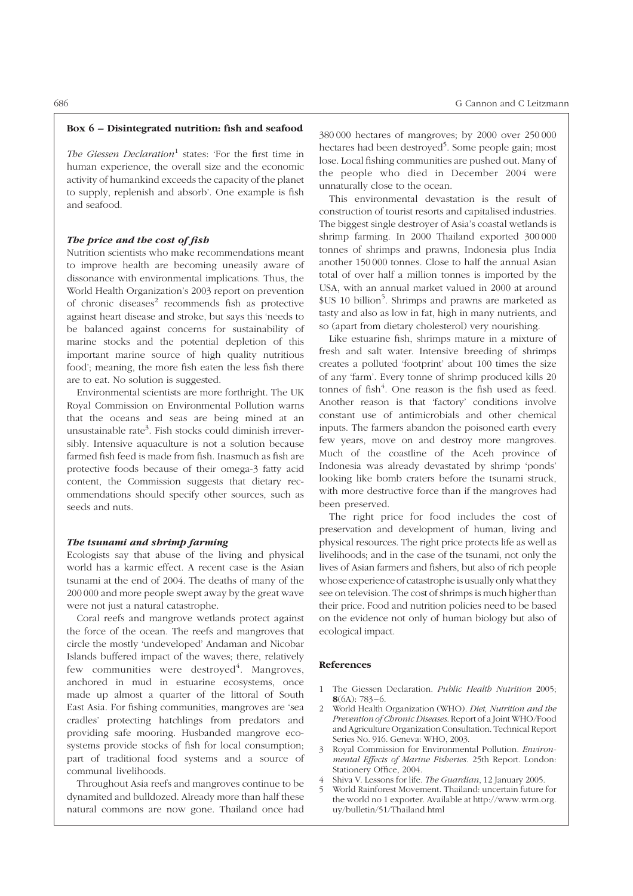# Box 6 – Disintegrated nutrition: fish and seafood

The Giessen Declaration<sup>1</sup> states: 'For the first time in human experience, the overall size and the economic activity of humankind exceeds the capacity of the planet to supply, replenish and absorb'. One example is fish and seafood.

# The price and the cost of fish

Nutrition scientists who make recommendations meant to improve health are becoming uneasily aware of dissonance with environmental implications. Thus, the World Health Organization's 2003 report on prevention of chronic diseases $2$  recommends fish as protective against heart disease and stroke, but says this 'needs to be balanced against concerns for sustainability of marine stocks and the potential depletion of this important marine source of high quality nutritious food'; meaning, the more fish eaten the less fish there are to eat. No solution is suggested.

Environmental scientists are more forthright. The UK Royal Commission on Environmental Pollution warns that the oceans and seas are being mined at an unsustainable rate<sup>3</sup>. Fish stocks could diminish irreversibly. Intensive aquaculture is not a solution because farmed fish feed is made from fish. Inasmuch as fish are protective foods because of their omega-3 fatty acid content, the Commission suggests that dietary recommendations should specify other sources, such as seeds and nuts.

# The tsunami and shrimp farming

Ecologists say that abuse of the living and physical world has a karmic effect. A recent case is the Asian tsunami at the end of 2004. The deaths of many of the 200 000 and more people swept away by the great wave were not just a natural catastrophe.

Coral reefs and mangrove wetlands protect against the force of the ocean. The reefs and mangroves that circle the mostly 'undeveloped' Andaman and Nicobar Islands buffered impact of the waves; there, relatively few communities were destroyed<sup>4</sup>. Mangroves, anchored in mud in estuarine ecosystems, once made up almost a quarter of the littoral of South East Asia. For fishing communities, mangroves are 'sea cradles' protecting hatchlings from predators and providing safe mooring. Husbanded mangrove ecosystems provide stocks of fish for local consumption; part of traditional food systems and a source of communal livelihoods.

Throughout Asia reefs and mangroves continue to be dynamited and bulldozed. Already more than half these natural commons are now gone. Thailand once had 380 000 hectares of mangroves; by 2000 over 250 000 hectares had been destroyed<sup>5</sup>. Some people gain; most lose. Local fishing communities are pushed out. Many of the people who died in December 2004 were unnaturally close to the ocean.

This environmental devastation is the result of construction of tourist resorts and capitalised industries. The biggest single destroyer of Asia's coastal wetlands is shrimp farming. In 2000 Thailand exported 300 000 tonnes of shrimps and prawns, Indonesia plus India another 150 000 tonnes. Close to half the annual Asian total of over half a million tonnes is imported by the USA, with an annual market valued in 2000 at around \$US 10 billion<sup>5</sup>. Shrimps and prawns are marketed as tasty and also as low in fat, high in many nutrients, and so (apart from dietary cholesterol) very nourishing.

Like estuarine fish, shrimps mature in a mixture of fresh and salt water. Intensive breeding of shrimps creates a polluted 'footprint' about 100 times the size of any 'farm'. Every tonne of shrimp produced kills 20 tonnes of fish $4$ . One reason is the fish used as feed. Another reason is that 'factory' conditions involve constant use of antimicrobials and other chemical inputs. The farmers abandon the poisoned earth every few years, move on and destroy more mangroves. Much of the coastline of the Aceh province of Indonesia was already devastated by shrimp 'ponds' looking like bomb craters before the tsunami struck, with more destructive force than if the mangroves had been preserved.

The right price for food includes the cost of preservation and development of human, living and physical resources. The right price protects life as well as livelihoods; and in the case of the tsunami, not only the lives of Asian farmers and fishers, but also of rich people whose experience of catastrophe is usually only whatthey see on television. The cost of shrimps is much higher than their price. Food and nutrition policies need to be based on the evidence not only of human biology but also of ecological impact.

- 1 The Giessen Declaration. Public Health Nutrition 2005;  $8(6A) \cdot 783 - 6$
- 2 World Health Organization (WHO). Diet, Nutrition and the Prevention of Chronic Diseases. Report of a Joint WHO/Food and Agriculture Organization Consultation. Technical Report Series No. 916. Geneva: WHO, 2003.
- Royal Commission for Environmental Pollution. Environmental Effects of Marine Fisheries. 25th Report. London: Stationery Office, 2004.
- Shiva V. Lessons for life. The Guardian, 12 January 2005.
- 5 World Rainforest Movement. Thailand: uncertain future for the world no 1 exporter. Available at http://www.wrm.org. uy/bulletin/51/Thailand.html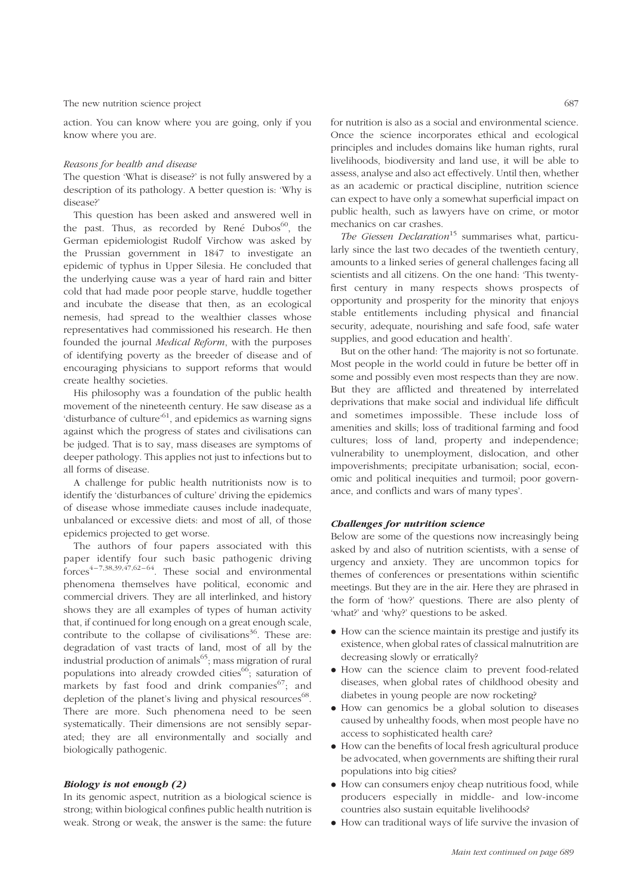action. You can know where you are going, only if you know where you are.

#### Reasons for health and disease

The question 'What is disease?' is not fully answered by a description of its pathology. A better question is: 'Why is disease?'

This question has been asked and answered well in the past. Thus, as recorded by René Dubos $^{60}$ , the German epidemiologist Rudolf Virchow was asked by the Prussian government in 1847 to investigate an epidemic of typhus in Upper Silesia. He concluded that the underlying cause was a year of hard rain and bitter cold that had made poor people starve, huddle together and incubate the disease that then, as an ecological nemesis, had spread to the wealthier classes whose representatives had commissioned his research. He then founded the journal Medical Reform, with the purposes of identifying poverty as the breeder of disease and of encouraging physicians to support reforms that would create healthy societies.

His philosophy was a foundation of the public health movement of the nineteenth century. He saw disease as a 'disturbance of culture'<sup>61</sup>, and epidemics as warning signs against which the progress of states and civilisations can be judged. That is to say, mass diseases are symptoms of deeper pathology. This applies not just to infections but to all forms of disease.

A challenge for public health nutritionists now is to identify the 'disturbances of culture' driving the epidemics of disease whose immediate causes include inadequate, unbalanced or excessive diets: and most of all, of those epidemics projected to get worse.

The authors of four papers associated with this paper identify four such basic pathogenic driving  $\frac{4}{1}$  forces<sup>4-7,38,39,47,62-64</sup>. These social and environmental phenomena themselves have political, economic and commercial drivers. They are all interlinked, and history shows they are all examples of types of human activity that, if continued for long enough on a great enough scale, contribute to the collapse of civilisations $36$ . These are: degradation of vast tracts of land, most of all by the industrial production of animals $^{65}$ ; mass migration of rural populations into already crowded cities<sup>66</sup>; saturation of markets by fast food and drink companies<sup>67</sup>; and depletion of the planet's living and physical resources $^{68}$ . There are more. Such phenomena need to be seen systematically. Their dimensions are not sensibly separated; they are all environmentally and socially and biologically pathogenic.

# Biology is not enough (2)

In its genomic aspect, nutrition as a biological science is strong; within biological confines public health nutrition is weak. Strong or weak, the answer is the same: the future

for nutrition is also as a social and environmental science. Once the science incorporates ethical and ecological principles and includes domains like human rights, rural livelihoods, biodiversity and land use, it will be able to assess, analyse and also act effectively. Until then, whether as an academic or practical discipline, nutrition science can expect to have only a somewhat superficial impact on public health, such as lawyers have on crime, or motor mechanics on car crashes.

The Giessen Declaration<sup>15</sup> summarises what, particularly since the last two decades of the twentieth century, amounts to a linked series of general challenges facing all scientists and all citizens. On the one hand: 'This twentyfirst century in many respects shows prospects of opportunity and prosperity for the minority that enjoys stable entitlements including physical and financial security, adequate, nourishing and safe food, safe water supplies, and good education and health'.

But on the other hand: 'The majority is not so fortunate. Most people in the world could in future be better off in some and possibly even most respects than they are now. But they are afflicted and threatened by interrelated deprivations that make social and individual life difficult and sometimes impossible. These include loss of amenities and skills; loss of traditional farming and food cultures; loss of land, property and independence; vulnerability to unemployment, dislocation, and other impoverishments; precipitate urbanisation; social, economic and political inequities and turmoil; poor governance, and conflicts and wars of many types'.

#### Challenges for nutrition science

Below are some of the questions now increasingly being asked by and also of nutrition scientists, with a sense of urgency and anxiety. They are uncommon topics for themes of conferences or presentations within scientific meetings. But they are in the air. Here they are phrased in the form of 'how?' questions. There are also plenty of 'what?' and 'why?' questions to be asked.

- . How can the science maintain its prestige and justify its existence, when global rates of classical malnutrition are decreasing slowly or erratically?
- . How can the science claim to prevent food-related diseases, when global rates of childhood obesity and diabetes in young people are now rocketing?
- . How can genomics be a global solution to diseases caused by unhealthy foods, when most people have no access to sophisticated health care?
- . How can the benefits of local fresh agricultural produce be advocated, when governments are shifting their rural populations into big cities?
- . How can consumers enjoy cheap nutritious food, while producers especially in middle- and low-income countries also sustain equitable livelihoods?
- . How can traditional ways of life survive the invasion of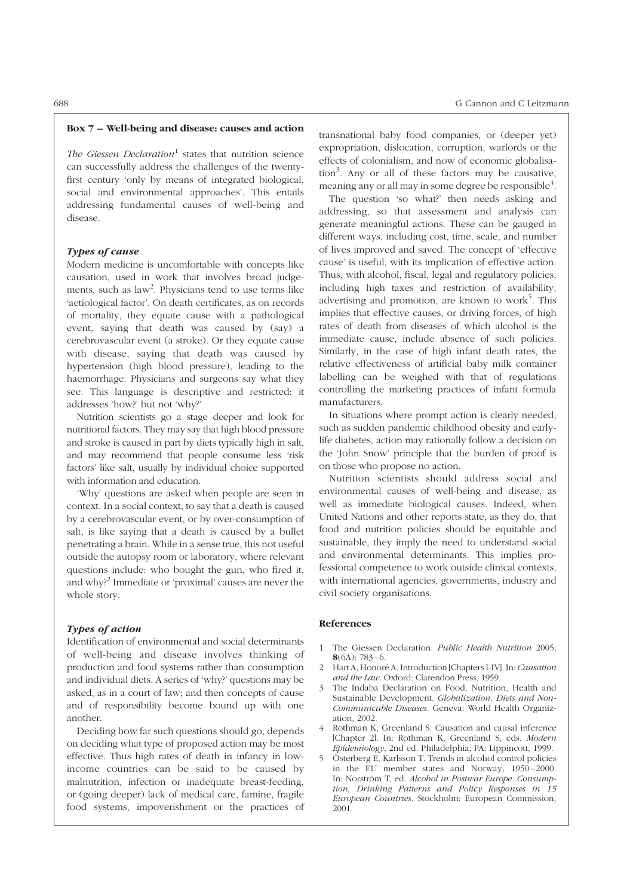#### Box 7 – Well-being and disease: causes and action

The Giessen Declaration<sup>1</sup> states that nutrition science can successfully address the challenges of the twentyfirst century 'only by means of integrated biological, social and environmental approaches'. This entails addressing fundamental causes of well-being and disease.

# Types of cause

Modern medicine is uncomfortable with concepts like causation, used in work that involves broad judgements, such as  $law^2$ . Physicians tend to use terms like 'aetiological factor'. On death certificates, as on records of mortality, they equate cause with a pathological event, saying that death was caused by (say) a cerebrovascular event (a stroke). Or they equate cause with disease, saying that death was caused by hypertension (high blood pressure), leading to the haemorrhage. Physicians and surgeons say what they see. This language is descriptive and restricted: it addresses 'how?' but not 'why?'

Nutrition scientists go a stage deeper and look for nutritional factors. They may say that high blood pressure and stroke is caused in part by diets typically high in salt, and may recommend that people consume less 'risk factors' like salt, usually by individual choice supported with information and education.

'Why' questions are asked when people are seen in context. In a social context, to say that a death is caused by a cerebrovascular event, or by over-consumption of salt, is like saying that a death is caused by a bullet penetrating a brain. While in a sense true, this not useful outside the autopsy room or laboratory, where relevant questions include: who bought the gun, who fired it, and why?2 Immediate or 'proximal' causes are never the whole story.

# Types of action

Identification of environmental and social determinants of well-being and disease involves thinking of production and food systems rather than consumption and individual diets. A series of 'why?' questions may be asked, as in a court of law; and then concepts of cause and of responsibility become bound up with one another.

Deciding how far such questions should go, depends on deciding what type of proposed action may be most effective. Thus high rates of death in infancy in lowincome countries can be said to be caused by malnutrition, infection or inadequate breast-feeding, or (going deeper) lack of medical care, famine, fragile food systems, impoverishment or the practices of transnational baby food companies, or (deeper yet) expropriation, dislocation, corruption, warlords or the effects of colonialism, and now of economic globalisa- $\frac{1}{2}$  tion<sup>3</sup>. Any or all of these factors may be causative, meaning any or all may in some degree be responsible $\rm ^4$ .

The question 'so what?' then needs asking and addressing, so that assessment and analysis can generate meaningful actions. These can be gauged in different ways, including cost, time, scale, and number of lives improved and saved. The concept of 'effective cause' is useful, with its implication of effective action. Thus, with alcohol, fiscal, legal and regulatory policies, including high taxes and restriction of availability, advertising and promotion, are known to work<sup>5</sup>. This implies that effective causes, or driving forces, of high rates of death from diseases of which alcohol is the immediate cause, include absence of such policies. Similarly, in the case of high infant death rates, the relative effectiveness of artificial baby milk container labelling can be weighed with that of regulations controlling the marketing practices of infant formula manufacturers.

In situations where prompt action is clearly needed, such as sudden pandemic childhood obesity and earlylife diabetes, action may rationally follow a decision on the 'John Snow' principle that the burden of proof is on those who propose no action.

Nutrition scientists should address social and environmental causes of well-being and disease, as well as immediate biological causes. Indeed, when United Nations and other reports state, as they do, that food and nutrition policies should be equitable and sustainable, they imply the need to understand social and environmental determinants. This implies professional competence to work outside clinical contexts, with international agencies, governments, industry and civil society organisations.

- The Giessen Declaration. Public Health Nutrition 2005;  $8(6A): 783 - 6.$
- Hart A, Honoré A. Introduction [Chapters I-IV]. In: Causation and the Law. Oxford: Clarendon Press, 1959.
- 3 The Indaba Declaration on Food, Nutrition, Health and Sustainable Development. Globalization, Diets and Non-Communicable Diseases. Geneva: World Health Organization, 2002.
- 4 Rothman K, Greenland S. Causation and causal inference [Chapter 2]. In: Rothman K, Greenland S, eds. Modern Epidemiology, 2nd ed. Philadelphia, PA: Lippincott, 1999.
- 5 Österberg E, Karlsson T. Trends in alcohol control policies in the EU member states and Norway, 1950 – 2000. In: Norström T, ed. Alcohol in Postwar Europe. Consumption, Drinking Patterns and Policy Responses in 15 European Countries. Stockholm: European Commission, 2001.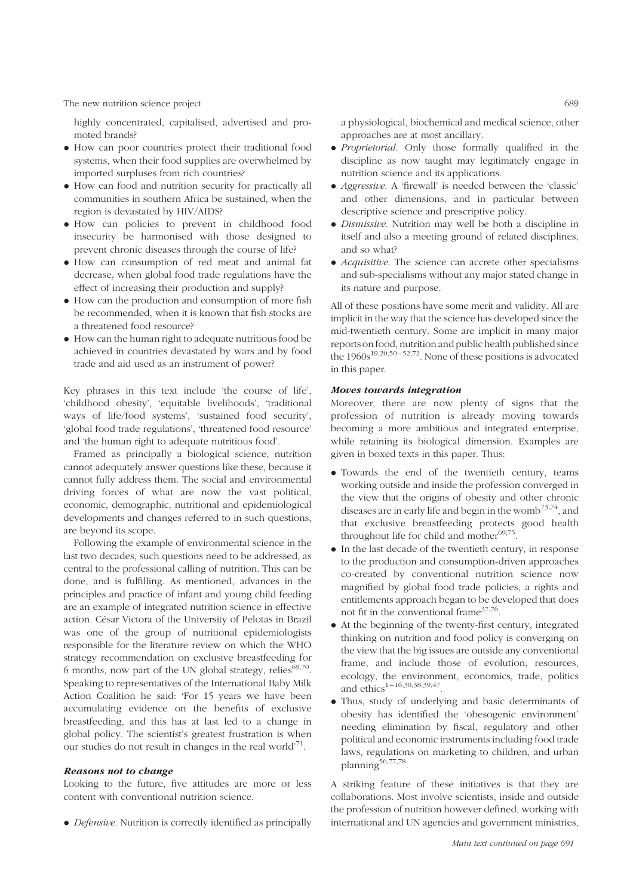highly concentrated, capitalised, advertised and promoted brands?

- . How can poor countries protect their traditional food systems, when their food supplies are overwhelmed by imported surpluses from rich countries?
- . How can food and nutrition security for practically all communities in southern Africa be sustained, when the region is devastated by HIV/AIDS?
- . How can policies to prevent in childhood food insecurity be harmonised with those designed to prevent chronic diseases through the course of life?
- . How can consumption of red meat and animal fat decrease, when global food trade regulations have the effect of increasing their production and supply?
- . How can the production and consumption of more fish be recommended, when it is known that fish stocks are a threatened food resource?
- . How can the human right to adequate nutritious food be achieved in countries devastated by wars and by food trade and aid used as an instrument of power?

Key phrases in this text include 'the course of life', 'childhood obesity', 'equitable livelihoods', 'traditional ways of life/food systems', 'sustained food security', 'global food trade regulations', 'threatened food resource' and 'the human right to adequate nutritious food'.

Framed as principally a biological science, nutrition cannot adequately answer questions like these, because it cannot fully address them. The social and environmental driving forces of what are now the vast political, economic, demographic, nutritional and epidemiological developments and changes referred to in such questions, are beyond its scope.

Following the example of environmental science in the last two decades, such questions need to be addressed, as central to the professional calling of nutrition. This can be done, and is fulfilling. As mentioned, advances in the principles and practice of infant and young child feeding are an example of integrated nutrition science in effective action. César Victora of the University of Pelotas in Brazil was one of the group of nutritional epidemiologists responsible for the literature review on which the WHO strategy recommendation on exclusive breastfeeding for 6 months, now part of the UN global strategy, relies $69,70$ . Speaking to representatives of the International Baby Milk Action Coalition he said: 'For 15 years we have been accumulating evidence on the benefits of exclusive breastfeeding, and this has at last led to a change in global policy. The scientist's greatest frustration is when our studies do not result in changes in the real world<sup> $,71$ </sup>.

#### Reasons not to change

Looking to the future, five attitudes are more or less content with conventional nutrition science.

. Defensive. Nutrition is correctly identified as principally

a physiological, biochemical and medical science; other approaches are at most ancillary.

- . Proprietorial. Only those formally qualified in the discipline as now taught may legitimately engage in nutrition science and its applications.
- . Aggressive. A 'firewall' is needed between the 'classic' and other dimensions, and in particular between descriptive science and prescriptive policy.
- . Dismissive. Nutrition may well be both a discipline in itself and also a meeting ground of related disciplines, and so what?
- . Acquisitive. The science can accrete other specialisms and sub-specialisms without any major stated change in its nature and purpose.

All of these positions have some merit and validity. All are implicit in the way that the science has developed since the mid-twentieth century. Some are implicit in many major reports on food, nutrition and public health published since the  $1960s^{19,20,50-52,72}$ . None of these positions is advocated in this paper.

# Moves towards integration

Moreover, there are now plenty of signs that the profession of nutrition is already moving towards becoming a more ambitious and integrated enterprise, while retaining its biological dimension. Examples are given in boxed texts in this paper. Thus:

- . Towards the end of the twentieth century, teams working outside and inside the profession converged in the view that the origins of obesity and other chronic diseases are in early life and begin in the womb<sup>73,74</sup>, and that exclusive breastfeeding protects good health throughout life for child and mother $69,75$ .
- . In the last decade of the twentieth century, in response to the production and consumption-driven approaches co-created by conventional nutrition science now magnified by global food trade policies, a rights and entitlements approach began to be developed that does not fit in the conventional frame  $37,76$ .
- . At the beginning of the twenty-first century, integrated thinking on nutrition and food policy is converging on the view that the big issues are outside any conventional frame, and include those of evolution, resources, ecology, the environment, economics, trade, politics and  $ethics$ <sup>1-16,30,38,39,47</sup>
- . Thus, study of underlying and basic determinants of obesity has identified the 'obesogenic environment' needing elimination by fiscal, regulatory and other political and economic instruments including food trade laws, regulations on marketing to children, and urban planning $56,77,78$ .

A striking feature of these initiatives is that they are collaborations. Most involve scientists, inside and outside the profession of nutrition however defined, working with international and UN agencies and government ministries,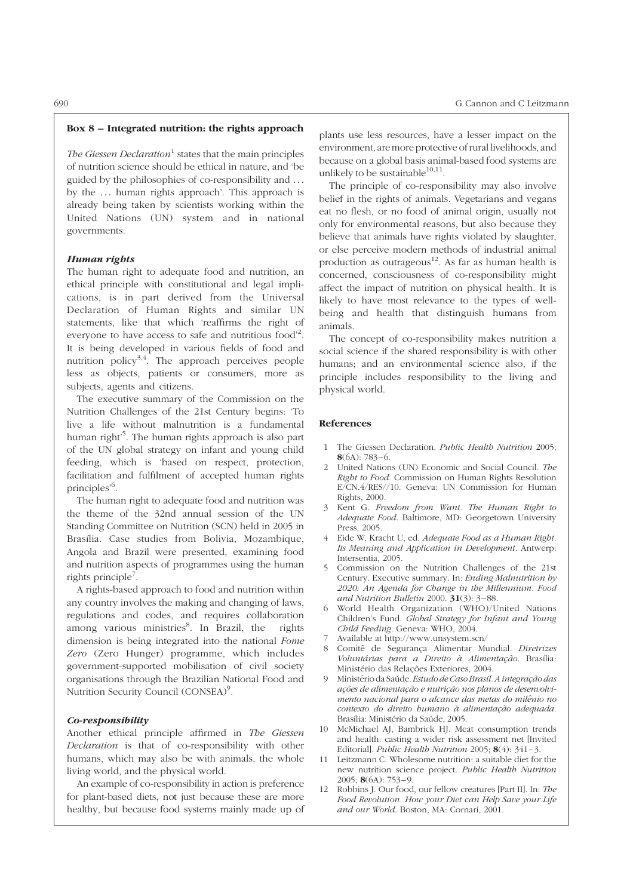# Box 8 – Integrated nutrition: the rights approach

The Giessen Declaration<sup>1</sup> states that the main principles of nutrition science should be ethical in nature, and 'be guided by the philosophies of co-responsibility and ... by the ... human rights approach'. This approach is already being taken by scientists working within the United Nations (UN) system and in national governments.

#### Human rights

The human right to adequate food and nutrition, an ethical principle with constitutional and legal implications, is in part derived from the Universal Declaration of Human Rights and similar UN statements, like that which 'reaffirms the right of everyone to have access to safe and nutritious food<sup>2</sup>. It is being developed in various fields of food and nutrition policy<sup>3,4</sup>. The approach perceives people less as objects, patients or consumers, more as subjects, agents and citizens.

The executive summary of the Commission on the Nutrition Challenges of the 21st Century begins: 'To live a life without malnutrition is a fundamental human right<sup>5</sup>. The human rights approach is also part of the UN global strategy on infant and young child feeding, which is 'based on respect, protection, facilitation and fulfilment of accepted human rights principles'<sup>6</sup>.

The human right to adequate food and nutrition was the theme of the 32nd annual session of the UN Standing Committee on Nutrition (SCN) held in 2005 in Brasília. Case studies from Bolivia, Mozambique, Angola and Brazil were presented, examining food and nutrition aspects of programmes using the human rights principle<sup>7</sup>.

A rights-based approach to food and nutrition within any country involves the making and changing of laws, regulations and codes, and requires collaboration among various ministries<sup>8</sup>. In Brazil, the rights dimension is being integrated into the national Fome Zero (Zero Hunger) programme, which includes government-supported mobilisation of civil society organisations through the Brazilian National Food and Nutrition Security Council (CONSEA)<sup>9</sup>.

# Co-responsibility

Another ethical principle affirmed in The Giessen Declaration is that of co-responsibility with other humans, which may also be with animals, the whole living world, and the physical world.

An example of co-responsibility in action is preference for plant-based diets, not just because these are more healthy, but because food systems mainly made up of plants use less resources, have a lesser impact on the environment, are more protective of rural livelihoods, and because on a global basis animal-based food systems are unlikely to be sustainable $^{10,11}$ .

The principle of co-responsibility may also involve belief in the rights of animals. Vegetarians and vegans eat no flesh, or no food of animal origin, usually not only for environmental reasons, but also because they believe that animals have rights violated by slaughter, or else perceive modern methods of industrial animal production as outrageous $12$ . As far as human health is concerned, consciousness of co-responsibility might affect the impact of nutrition on physical health. It is likely to have most relevance to the types of wellbeing and health that distinguish humans from animals.

The concept of co-responsibility makes nutrition a social science if the shared responsibility is with other humans; and an environmental science also, if the principle includes responsibility to the living and physical world.

- 1 The Giessen Declaration. Public Health Nutrition 2005;  $8(6A): 783 - 6.$
- 2 United Nations (UN) Economic and Social Council. The Right to Food. Commission on Human Rights Resolution E/CN.4/RES//10. Geneva: UN Commission for Human Rights, 2000.
- 3 Kent G. Freedom from Want. The Human Right to Adequate Food. Baltimore, MD: Georgetown University Press, 2005.
- 4 Eide W, Kracht U, ed. Adequate Food as a Human Right. Its Meaning and Application in Development. Antwerp: Intersentia, 2005.
- 5 Commission on the Nutrition Challenges of the 21st Century. Executive summary. In: Ending Malnutrition by 2020: An Agenda for Change in the Millennium. Food and Nutrition Bulletin 2000.  $31(3)$ : 3-88.
- 6 World Health Organization (WHO)/United Nations Children's Fund. Global Strategy for Infant and Young Child Feeding. Geneva: WHO, 2004.
- 7 Available at http://www.unsystem.scn/
- 8 Comitê de Segurança Alimentar Mundial. Diretrizes Voluntárias para a Direito à Alimentação. Brasília: Ministério das Relações Exteriores, 2004.
- Ministério da Saúde. Estudo de Caso Brasil. A integração das ações de alimentação e nutrição nos planos de desenvolvimento nacional para o alcance das metas do milênio no contexto do direito humano à alimentação adequada. Brasília: Ministério da Saúde, 2005.
- 10 McMichael AJ, Bambrick HJ. Meat consumption trends and health: casting a wider risk assessment net [Invited Editorial]. Public Health Nutrition 2005;  $8(4)$ : 341-3.
- 11 Leitzmann C. Wholesome nutrition: a suitable diet for the new nutrition science project. Public Health Nutrition 2005;  $8(6A)$ : 753-9.
- 12 Robbins J. Our food, our fellow creatures [Part II]. In: The Food Revolution. How your Diet can Help Save your Life and our World. Boston, MA: Cornari, 2001.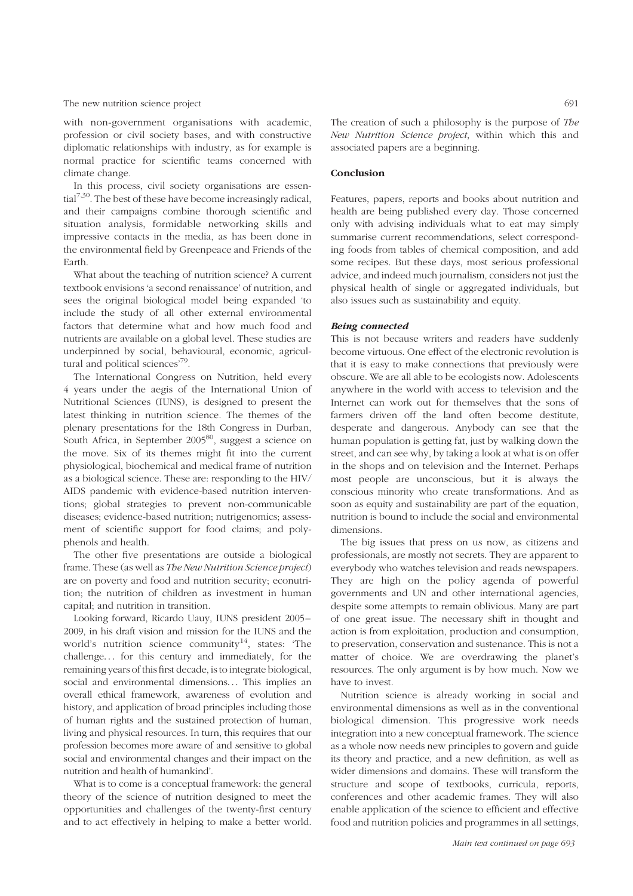with non-government organisations with academic, profession or civil society bases, and with constructive diplomatic relationships with industry, as for example is normal practice for scientific teams concerned with climate change.

In this process, civil society organisations are essen- $\text{tail}^{7,30}$ . The best of these have become increasingly radical, and their campaigns combine thorough scientific and situation analysis, formidable networking skills and impressive contacts in the media, as has been done in the environmental field by Greenpeace and Friends of the Earth.

What about the teaching of nutrition science? A current textbook envisions 'a second renaissance' of nutrition, and sees the original biological model being expanded 'to include the study of all other external environmental factors that determine what and how much food and nutrients are available on a global level. These studies are underpinned by social, behavioural, economic, agricultural and political sciences'79.

The International Congress on Nutrition, held every 4 years under the aegis of the International Union of Nutritional Sciences (IUNS), is designed to present the latest thinking in nutrition science. The themes of the plenary presentations for the 18th Congress in Durban, South Africa, in September  $2005^{80}$ , suggest a science on the move. Six of its themes might fit into the current physiological, biochemical and medical frame of nutrition as a biological science. These are: responding to the HIV/ AIDS pandemic with evidence-based nutrition interventions; global strategies to prevent non-communicable diseases; evidence-based nutrition; nutrigenomics; assessment of scientific support for food claims; and polyphenols and health.

The other five presentations are outside a biological frame. These (as well as The New Nutrition Science project) are on poverty and food and nutrition security; econutrition; the nutrition of children as investment in human capital; and nutrition in transition.

Looking forward, Ricardo Uauy, IUNS president 2005– 2009, in his draft vision and mission for the IUNS and the world's nutrition science community<sup>14</sup>, states: 'The challenge... for this century and immediately, for the remaining years of this first decade, is to integrate biological, social and environmental dimensions... This implies an overall ethical framework, awareness of evolution and history, and application of broad principles including those of human rights and the sustained protection of human, living and physical resources. In turn, this requires that our profession becomes more aware of and sensitive to global social and environmental changes and their impact on the nutrition and health of humankind'.

What is to come is a conceptual framework: the general theory of the science of nutrition designed to meet the opportunities and challenges of the twenty-first century and to act effectively in helping to make a better world. The creation of such a philosophy is the purpose of The New Nutrition Science project, within which this and associated papers are a beginning.

## Conclusion

Features, papers, reports and books about nutrition and health are being published every day. Those concerned only with advising individuals what to eat may simply summarise current recommendations, select corresponding foods from tables of chemical composition, and add some recipes. But these days, most serious professional advice, and indeed much journalism, considers not just the physical health of single or aggregated individuals, but also issues such as sustainability and equity.

# Being connected

This is not because writers and readers have suddenly become virtuous. One effect of the electronic revolution is that it is easy to make connections that previously were obscure. We are all able to be ecologists now. Adolescents anywhere in the world with access to television and the Internet can work out for themselves that the sons of farmers driven off the land often become destitute, desperate and dangerous. Anybody can see that the human population is getting fat, just by walking down the street, and can see why, by taking a look at what is on offer in the shops and on television and the Internet. Perhaps most people are unconscious, but it is always the conscious minority who create transformations. And as soon as equity and sustainability are part of the equation, nutrition is bound to include the social and environmental dimensions.

The big issues that press on us now, as citizens and professionals, are mostly not secrets. They are apparent to everybody who watches television and reads newspapers. They are high on the policy agenda of powerful governments and UN and other international agencies, despite some attempts to remain oblivious. Many are part of one great issue. The necessary shift in thought and action is from exploitation, production and consumption, to preservation, conservation and sustenance. This is not a matter of choice. We are overdrawing the planet's resources. The only argument is by how much. Now we have to invest.

Nutrition science is already working in social and environmental dimensions as well as in the conventional biological dimension. This progressive work needs integration into a new conceptual framework. The science as a whole now needs new principles to govern and guide its theory and practice, and a new definition, as well as wider dimensions and domains. These will transform the structure and scope of textbooks, curricula, reports, conferences and other academic frames. They will also enable application of the science to efficient and effective food and nutrition policies and programmes in all settings,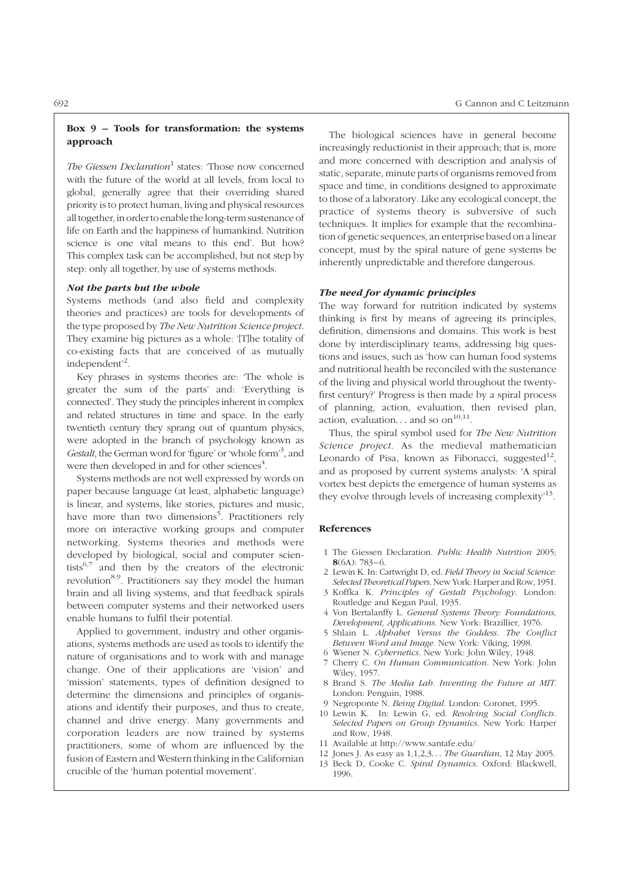# Box 9 – Tools for transformation: the systems approach

The Giessen Declaration<sup>1</sup> states: 'Those now concerned with the future of the world at all levels, from local to global, generally agree that their overriding shared priority is to protect human, living and physical resources all together, in order to enablethe long-term sustenance of life on Earth and the happiness of humankind. Nutrition science is one vital means to this end'. But how? This complex task can be accomplished, but not step by step: only all together, by use of systems methods.

# Not the parts but the whole

Systems methods (and also field and complexity theories and practices) are tools for developments of the type proposed by The New Nutrition Science project. They examine big pictures as a whole: '[T]he totality of co-existing facts that are conceived of as mutually independent'<sup>2</sup> .

Key phrases in systems theories are: 'The whole is greater the sum of the parts' and: 'Everything is connected'. They study the principles inherent in complex and related structures in time and space. In the early twentieth century they sprang out of quantum physics, were adopted in the branch of psychology known as Gestalt, the German word for 'figure' or 'whole form'<sup>3</sup>, and were then developed in and for other sciences<sup>4</sup>.

Systems methods are not well expressed by words on paper because language (at least, alphabetic language) is linear, and systems, like stories, pictures and music, have more than two dimensions<sup>5</sup>. Practitioners rely more on interactive working groups and computer networking. Systems theories and methods were developed by biological, social and computer scientists<sup>6,7</sup> and then by the creators of the electronic revolution<sup>8,9</sup>. Practitioners say they model the human brain and all living systems, and that feedback spirals between computer systems and their networked users enable humans to fulfil their potential.

Applied to government, industry and other organisations, systems methods are used as tools to identify the nature of organisations and to work with and manage change. One of their applications are 'vision' and 'mission' statements, types of definition designed to determine the dimensions and principles of organisations and identify their purposes, and thus to create, channel and drive energy. Many governments and corporation leaders are now trained by systems practitioners, some of whom are influenced by the fusion of Eastern and Western thinking in the Californian crucible of the 'human potential movement'.

The biological sciences have in general become increasingly reductionist in their approach; that is, more and more concerned with description and analysis of static, separate, minute parts of organisms removed from space and time, in conditions designed to approximate to those of a laboratory. Like any ecological concept, the practice of systems theory is subversive of such techniques. It implies for example that the recombination of genetic sequences, an enterprise based on a linear concept, must by the spiral nature of gene systems be inherently unpredictable and therefore dangerous.

#### The need for dynamic principles

The way forward for nutrition indicated by systems thinking is first by means of agreeing its principles, definition, dimensions and domains. This work is best done by interdisciplinary teams, addressing big questions and issues, such as 'how can human food systems and nutritional health be reconciled with the sustenance of the living and physical world throughout the twentyfirst century?' Progress is then made by a spiral process of planning, action, evaluation, then revised plan, action, evaluation... and so on<sup>10,11</sup>.

Thus, the spiral symbol used for The New Nutrition Science project. As the medieval mathematician Leonardo of Pisa, known as Fibonacci, suggested $^{12}$ , and as proposed by current systems analysts: 'A spiral vortex best depicts the emergence of human systems as they evolve through levels of increasing complexity'13.

- 1 The Giessen Declaration. Public Health Nutrition 2005;  $8(6A): 783 - 6.$
- 2 Lewin K. In: Cartwright D, ed. Field Theory in Social Science: Selected Theoretical Papers. New York: Harper and Row, 1951.
- 3 Koffka K. Principles of Gestalt Psychology. London: Routledge and Kegan Paul, 1935.
- 4 Von Bertalanffy L. General Systems Theory: Foundations, Development, Applications. New York: Brazillier, 1976.
- 5 Shlain L. Alphabet Versus the Goddess. The Conflict Between Word and Image. New York: Viking, 1998.
- 6 Wiener N. Cybernetics. New York: John Wiley, 1948.
- 7 Cherry C. On Human Communication. New York: John Wiley, 1957.
- 8 Brand S. The Media Lab. Inventing the Future at MIT. London: Penguin, 1988.
- 9 Negroponte N. Being Digital. London: Coronet, 1995.
- 10 Lewin K. In: Lewin G, ed. Resolving Social Conflicts. Selected Papers on Group Dynamics. New York: Harper and Row, 1948.
- 11 Available at http://www.santafe.edu/
- 12 Jones J. As easy as 1,1,2,3... The Guardian, 12 May 2005.
- 13 Beck D, Cooke C. Spiral Dynamics. Oxford: Blackwell, 1996.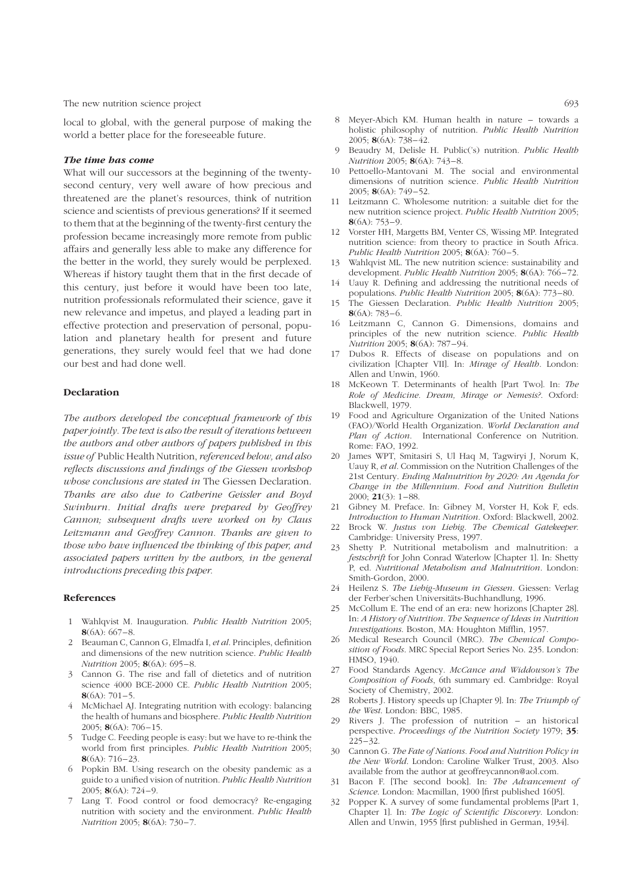local to global, with the general purpose of making the world a better place for the foreseeable future.

# The time has come

What will our successors at the beginning of the twentysecond century, very well aware of how precious and threatened are the planet's resources, think of nutrition science and scientists of previous generations? If it seemed to them that at the beginning of the twenty-first century the profession became increasingly more remote from public affairs and generally less able to make any difference for the better in the world, they surely would be perplexed. Whereas if history taught them that in the first decade of this century, just before it would have been too late, nutrition professionals reformulated their science, gave it new relevance and impetus, and played a leading part in effective protection and preservation of personal, population and planetary health for present and future generations, they surely would feel that we had done our best and had done well.

# Declaration

The authors developed the conceptual framework of this paper jointly. The text is also the result of iterations between the authors and other authors of papers published in this issue of Public Health Nutrition, referenced below, and also reflects discussions and findings of the Giessen workshop whose conclusions are stated in The Giessen Declaration. Thanks are also due to Catherine Geissler and Boyd Swinburn. Initial drafts were prepared by Geoffrey Cannon; subsequent drafts were worked on by Claus Leitzmann and Geoffrey Cannon. Thanks are given to those who have influenced the thinking of this paper, and associated papers written by the authors, in the general introductions preceding this paper.

- 1 Wahlqvist M. Inauguration. Public Health Nutrition 2005;  $8(6A): 667 - 8.$
- Beauman C, Cannon G, Elmadfa I, et al. Principles, definition and dimensions of the new nutrition science. Public Health Nutrition 2005; 8(6A): 695-8.
- 3 Cannon G. The rise and fall of dietetics and of nutrition science 4000 BCE-2000 CE. Public Health Nutrition 2005;  $8(6A) \cdot 701 - 5$
- 4 McMichael AJ. Integrating nutrition with ecology: balancing the health of humans and biosphere. Public Health Nutrition 2005; **8** $(6A)$ : 706-15.
- 5 Tudge C. Feeding people is easy: but we have to re-think the world from first principles. Public Health Nutrition 2005;  $8(6A): 716 - 23.$
- 6 Popkin BM. Using research on the obesity pandemic as a guide to a unified vision of nutrition. Public Health Nutrition 2005; 8(6A): 724 – 9.
- Lang T. Food control or food democracy? Re-engaging nutrition with society and the environment. Public Health Nutrition 2005; 8(6A): 730-7.
- 8 Meyer-Abich KM. Human health in nature towards a holistic philosophy of nutrition. Public Health Nutrition 2005; 8(6A): 738 – 42.
- Beaudry M, Delisle H. Public('s) nutrition. Public Health Nutrition 2005; 8(6A): 743-8.
- 10 Pettoello-Mantovani M. The social and environmental dimensions of nutrition science. Public Health Nutrition 2005; 8(6A): 749-52.
- 11 Leitzmann C. Wholesome nutrition: a suitable diet for the new nutrition science project. Public Health Nutrition 2005;  $8(6A): 753 - 9.$
- 12 Vorster HH, Margetts BM, Venter CS, Wissing MP. Integrated nutrition science: from theory to practice in South Africa. Public Health Nutrition 2005;  $8(6A)$ : 760-5.
- 13 Wahlqvist ML. The new nutrition science: sustainability and development. Public Health Nutrition 2005; 8(6A): 766-72.
- 14 Uauy R. Defining and addressing the nutritional needs of populations. *Public Health Nutrition* 2005; 8(6A): 773-80.
- 15 The Giessen Declaration. Public Health Nutrition 2005;  $8(6A): 783 - 6.$
- 16 Leitzmann C, Cannon G. Dimensions, domains and principles of the new nutrition science. Public Health Nutrition 2005; 8(6A): 787 – 94.
- 17 Dubos R. Effects of disease on populations and on civilization [Chapter VII]. In: Mirage of Health. London: Allen and Unwin, 1960.
- 18 McKeown T. Determinants of health [Part Two]. In: The Role of Medicine. Dream, Mirage or Nemesis?. Oxford: Blackwell, 1979.
- 19 Food and Agriculture Organization of the United Nations (FAO)/World Health Organization. World Declaration and Plan of Action. International Conference on Nutrition. Rome: FAO, 1992.
- 20 James WPT, Smitasiri S, Ul Haq M, Tagwiryi J, Norum K, Uauy R, et al. Commission on the Nutrition Challenges of the 21st Century. Ending Malnutrition by 2020: An Agenda for Change in the Millennium. Food and Nutrition Bulletin 2000; **21**(3):  $1-88$ .
- 21 Gibney M. Preface. In: Gibney M, Vorster H, Kok F, eds. Introduction to Human Nutrition. Oxford: Blackwell, 2002.
- 22 Brock W. Justus von Liebig. The Chemical Gatekeeper. Cambridge: University Press, 1997.
- 23 Shetty P. Nutritional metabolism and malnutrition: a festschrift for John Conrad Waterlow [Chapter 1]. In: Shetty P, ed. Nutritional Metabolism and Malnutrition. London: Smith-Gordon, 2000.
- 24 Heilenz S. The Liebig-Museum in Giessen. Giessen: Verlag der Ferber'schen Universitäts-Buchhandlung, 1996.
- 25 McCollum E. The end of an era: new horizons [Chapter 28]. In: A History of Nutrition. The Sequence of Ideas in Nutrition Investigations. Boston, MA: Houghton Mifflin, 1957.
- 26 Medical Research Council (MRC). The Chemical Composition of Foods. MRC Special Report Series No. 235. London: HMSO, 1940.
- 27 Food Standards Agency. McCance and Widdowson's The Composition of Foods, 6th summary ed. Cambridge: Royal Society of Chemistry, 2002.
- 28 Roberts J. History speeds up [Chapter 9]. In: The Triumph of the West. London: BBC, 1985.
- 29 Rivers J. The profession of nutrition an historical perspective. Proceedings of the Nutrition Society 1979; 35:  $225 - 32$ .
- 30 Cannon G. The Fate of Nations. Food and Nutrition Policy in the New World. London: Caroline Walker Trust, 2003. Also available from the author at geoffreycannon@aol.com.
- Bacon F. [The second book]. In: The Advancement of Science. London: Macmillan, 1900 [first published 1605].
- 32 Popper K. A survey of some fundamental problems [Part 1, Chapter 1]. In: The Logic of Scientific Discovery. London: Allen and Unwin, 1955 [first published in German, 1934].